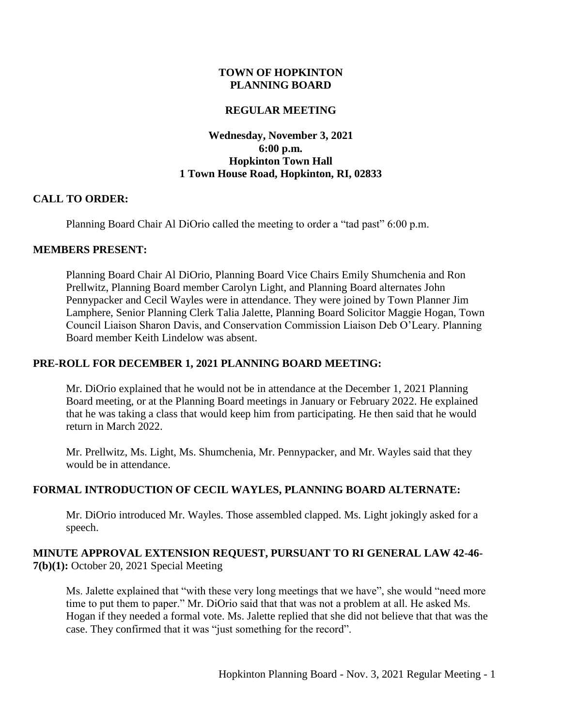### **TOWN OF HOPKINTON PLANNING BOARD**

### **REGULAR MEETING**

### **Wednesday, November 3, 2021 6:00 p.m. Hopkinton Town Hall 1 Town House Road, Hopkinton, RI, 02833**

#### **CALL TO ORDER:**

Planning Board Chair Al DiOrio called the meeting to order a "tad past" 6:00 p.m.

#### **MEMBERS PRESENT:**

Planning Board Chair Al DiOrio, Planning Board Vice Chairs Emily Shumchenia and Ron Prellwitz, Planning Board member Carolyn Light, and Planning Board alternates John Pennypacker and Cecil Wayles were in attendance. They were joined by Town Planner Jim Lamphere, Senior Planning Clerk Talia Jalette, Planning Board Solicitor Maggie Hogan, Town Council Liaison Sharon Davis, and Conservation Commission Liaison Deb O'Leary. Planning Board member Keith Lindelow was absent.

### **PRE-ROLL FOR DECEMBER 1, 2021 PLANNING BOARD MEETING:**

Mr. DiOrio explained that he would not be in attendance at the December 1, 2021 Planning Board meeting, or at the Planning Board meetings in January or February 2022. He explained that he was taking a class that would keep him from participating. He then said that he would return in March 2022.

Mr. Prellwitz, Ms. Light, Ms. Shumchenia, Mr. Pennypacker, and Mr. Wayles said that they would be in attendance.

### **FORMAL INTRODUCTION OF CECIL WAYLES, PLANNING BOARD ALTERNATE:**

Mr. DiOrio introduced Mr. Wayles. Those assembled clapped. Ms. Light jokingly asked for a speech.

### **MINUTE APPROVAL EXTENSION REQUEST, PURSUANT TO RI GENERAL LAW 42-46- 7(b)(1):** October 20, 2021 Special Meeting

Ms. Jalette explained that "with these very long meetings that we have", she would "need more time to put them to paper." Mr. DiOrio said that that was not a problem at all. He asked Ms. Hogan if they needed a formal vote. Ms. Jalette replied that she did not believe that that was the case. They confirmed that it was "just something for the record".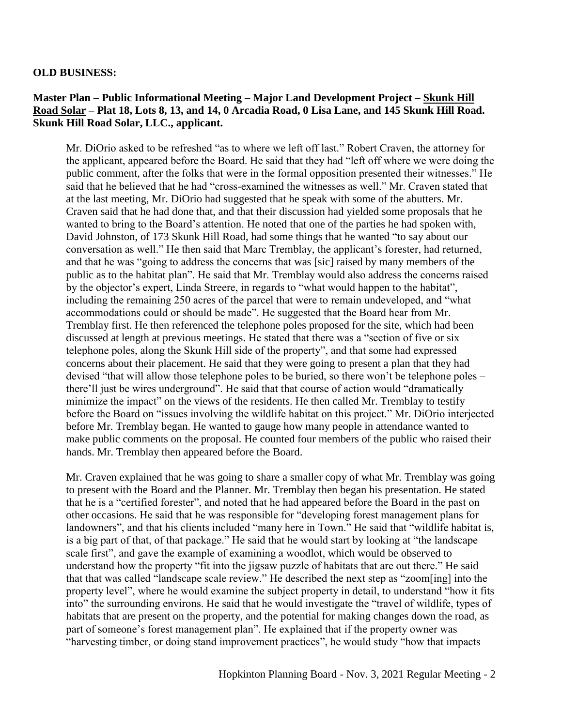#### **OLD BUSINESS:**

### **Master Plan – Public Informational Meeting – Major Land Development Project – Skunk Hill Road Solar – Plat 18, Lots 8, 13, and 14, 0 Arcadia Road, 0 Lisa Lane, and 145 Skunk Hill Road. Skunk Hill Road Solar, LLC., applicant.**

Mr. DiOrio asked to be refreshed "as to where we left off last." Robert Craven, the attorney for the applicant, appeared before the Board. He said that they had "left off where we were doing the public comment, after the folks that were in the formal opposition presented their witnesses." He said that he believed that he had "cross-examined the witnesses as well." Mr. Craven stated that at the last meeting, Mr. DiOrio had suggested that he speak with some of the abutters. Mr. Craven said that he had done that, and that their discussion had yielded some proposals that he wanted to bring to the Board's attention. He noted that one of the parties he had spoken with, David Johnston, of 173 Skunk Hill Road, had some things that he wanted "to say about our conversation as well." He then said that Marc Tremblay, the applicant's forester, had returned, and that he was "going to address the concerns that was [sic] raised by many members of the public as to the habitat plan". He said that Mr. Tremblay would also address the concerns raised by the objector's expert, Linda Streere, in regards to "what would happen to the habitat", including the remaining 250 acres of the parcel that were to remain undeveloped, and "what accommodations could or should be made". He suggested that the Board hear from Mr. Tremblay first. He then referenced the telephone poles proposed for the site, which had been discussed at length at previous meetings. He stated that there was a "section of five or six telephone poles, along the Skunk Hill side of the property", and that some had expressed concerns about their placement. He said that they were going to present a plan that they had devised "that will allow those telephone poles to be buried, so there won't be telephone poles – there'll just be wires underground". He said that that course of action would "dramatically minimize the impact" on the views of the residents. He then called Mr. Tremblay to testify before the Board on "issues involving the wildlife habitat on this project." Mr. DiOrio interjected before Mr. Tremblay began. He wanted to gauge how many people in attendance wanted to make public comments on the proposal. He counted four members of the public who raised their hands. Mr. Tremblay then appeared before the Board.

Mr. Craven explained that he was going to share a smaller copy of what Mr. Tremblay was going to present with the Board and the Planner. Mr. Tremblay then began his presentation. He stated that he is a "certified forester", and noted that he had appeared before the Board in the past on other occasions. He said that he was responsible for "developing forest management plans for landowners", and that his clients included "many here in Town." He said that "wildlife habitat is, is a big part of that, of that package." He said that he would start by looking at "the landscape scale first", and gave the example of examining a woodlot, which would be observed to understand how the property "fit into the jigsaw puzzle of habitats that are out there." He said that that was called "landscape scale review." He described the next step as "zoom[ing] into the property level", where he would examine the subject property in detail, to understand "how it fits into" the surrounding environs. He said that he would investigate the "travel of wildlife, types of habitats that are present on the property, and the potential for making changes down the road, as part of someone's forest management plan". He explained that if the property owner was "harvesting timber, or doing stand improvement practices", he would study "how that impacts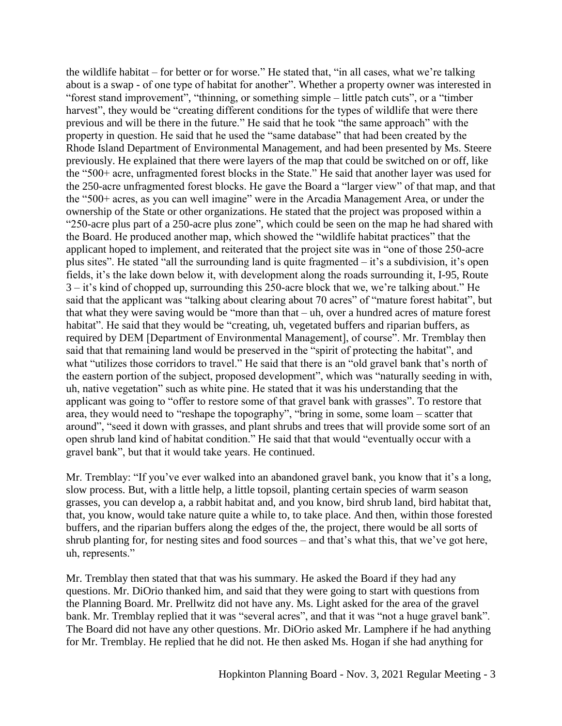the wildlife habitat – for better or for worse." He stated that, "in all cases, what we're talking about is a swap - of one type of habitat for another". Whether a property owner was interested in "forest stand improvement", "thinning, or something simple – little patch cuts", or a "timber harvest", they would be "creating different conditions for the types of wildlife that were there previous and will be there in the future." He said that he took "the same approach" with the property in question. He said that he used the "same database" that had been created by the Rhode Island Department of Environmental Management, and had been presented by Ms. Steere previously. He explained that there were layers of the map that could be switched on or off, like the "500+ acre, unfragmented forest blocks in the State." He said that another layer was used for the 250-acre unfragmented forest blocks. He gave the Board a "larger view" of that map, and that the "500+ acres, as you can well imagine" were in the Arcadia Management Area, or under the ownership of the State or other organizations. He stated that the project was proposed within a "250-acre plus part of a 250-acre plus zone", which could be seen on the map he had shared with the Board. He produced another map, which showed the "wildlife habitat practices" that the applicant hoped to implement, and reiterated that the project site was in "one of those 250-acre plus sites". He stated "all the surrounding land is quite fragmented – it's a subdivision, it's open fields, it's the lake down below it, with development along the roads surrounding it, I-95, Route 3 – it's kind of chopped up, surrounding this 250-acre block that we, we're talking about." He said that the applicant was "talking about clearing about 70 acres" of "mature forest habitat", but that what they were saving would be "more than that – uh, over a hundred acres of mature forest habitat". He said that they would be "creating, uh, vegetated buffers and riparian buffers, as required by DEM [Department of Environmental Management], of course". Mr. Tremblay then said that that remaining land would be preserved in the "spirit of protecting the habitat", and what "utilizes those corridors to travel." He said that there is an "old gravel bank that's north of the eastern portion of the subject, proposed development", which was "naturally seeding in with, uh, native vegetation" such as white pine. He stated that it was his understanding that the applicant was going to "offer to restore some of that gravel bank with grasses". To restore that area, they would need to "reshape the topography", "bring in some, some loam – scatter that around", "seed it down with grasses, and plant shrubs and trees that will provide some sort of an open shrub land kind of habitat condition." He said that that would "eventually occur with a gravel bank", but that it would take years. He continued.

Mr. Tremblay: "If you've ever walked into an abandoned gravel bank, you know that it's a long, slow process. But, with a little help, a little topsoil, planting certain species of warm season grasses, you can develop a, a rabbit habitat and, and you know, bird shrub land, bird habitat that, that, you know, would take nature quite a while to, to take place. And then, within those forested buffers, and the riparian buffers along the edges of the, the project, there would be all sorts of shrub planting for, for nesting sites and food sources – and that's what this, that we've got here, uh, represents."

Mr. Tremblay then stated that that was his summary. He asked the Board if they had any questions. Mr. DiOrio thanked him, and said that they were going to start with questions from the Planning Board. Mr. Prellwitz did not have any. Ms. Light asked for the area of the gravel bank. Mr. Tremblay replied that it was "several acres", and that it was "not a huge gravel bank". The Board did not have any other questions. Mr. DiOrio asked Mr. Lamphere if he had anything for Mr. Tremblay. He replied that he did not. He then asked Ms. Hogan if she had anything for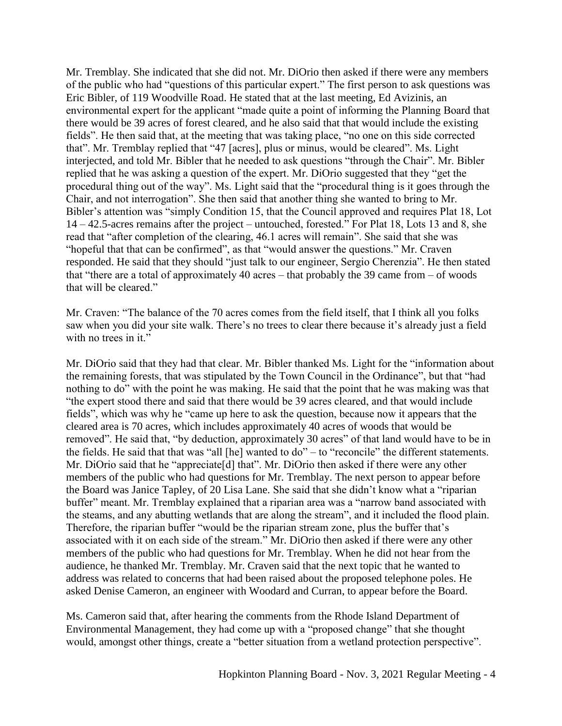Mr. Tremblay. She indicated that she did not. Mr. DiOrio then asked if there were any members of the public who had "questions of this particular expert." The first person to ask questions was Eric Bibler, of 119 Woodville Road. He stated that at the last meeting, Ed Avizinis, an environmental expert for the applicant "made quite a point of informing the Planning Board that there would be 39 acres of forest cleared, and he also said that that would include the existing fields". He then said that, at the meeting that was taking place, "no one on this side corrected that". Mr. Tremblay replied that "47 [acres], plus or minus, would be cleared". Ms. Light interjected, and told Mr. Bibler that he needed to ask questions "through the Chair". Mr. Bibler replied that he was asking a question of the expert. Mr. DiOrio suggested that they "get the procedural thing out of the way". Ms. Light said that the "procedural thing is it goes through the Chair, and not interrogation". She then said that another thing she wanted to bring to Mr. Bibler's attention was "simply Condition 15, that the Council approved and requires Plat 18, Lot 14 – 42.5-acres remains after the project – untouched, forested." For Plat 18, Lots 13 and 8, she read that "after completion of the clearing, 46.1 acres will remain". She said that she was "hopeful that that can be confirmed", as that "would answer the questions." Mr. Craven responded. He said that they should "just talk to our engineer, Sergio Cherenzia". He then stated that "there are a total of approximately 40 acres – that probably the 39 came from – of woods that will be cleared."

Mr. Craven: "The balance of the 70 acres comes from the field itself, that I think all you folks saw when you did your site walk. There's no trees to clear there because it's already just a field with no trees in it."

Mr. DiOrio said that they had that clear. Mr. Bibler thanked Ms. Light for the "information about the remaining forests, that was stipulated by the Town Council in the Ordinance", but that "had nothing to do" with the point he was making. He said that the point that he was making was that "the expert stood there and said that there would be 39 acres cleared, and that would include fields", which was why he "came up here to ask the question, because now it appears that the cleared area is 70 acres, which includes approximately 40 acres of woods that would be removed". He said that, "by deduction, approximately 30 acres" of that land would have to be in the fields. He said that that was "all [he] wanted to do" – to "reconcile" the different statements. Mr. DiOrio said that he "appreciate[d] that". Mr. DiOrio then asked if there were any other members of the public who had questions for Mr. Tremblay. The next person to appear before the Board was Janice Tapley, of 20 Lisa Lane. She said that she didn't know what a "riparian buffer" meant. Mr. Tremblay explained that a riparian area was a "narrow band associated with the steams, and any abutting wetlands that are along the stream", and it included the flood plain. Therefore, the riparian buffer "would be the riparian stream zone, plus the buffer that's associated with it on each side of the stream." Mr. DiOrio then asked if there were any other members of the public who had questions for Mr. Tremblay. When he did not hear from the audience, he thanked Mr. Tremblay. Mr. Craven said that the next topic that he wanted to address was related to concerns that had been raised about the proposed telephone poles. He asked Denise Cameron, an engineer with Woodard and Curran, to appear before the Board.

Ms. Cameron said that, after hearing the comments from the Rhode Island Department of Environmental Management, they had come up with a "proposed change" that she thought would, amongst other things, create a "better situation from a wetland protection perspective".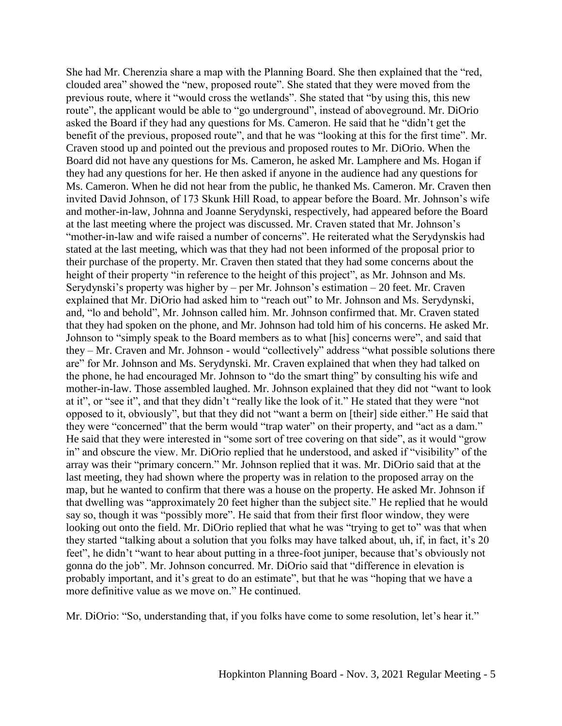She had Mr. Cherenzia share a map with the Planning Board. She then explained that the "red, clouded area" showed the "new, proposed route". She stated that they were moved from the previous route, where it "would cross the wetlands". She stated that "by using this, this new route", the applicant would be able to "go underground", instead of aboveground. Mr. DiOrio asked the Board if they had any questions for Ms. Cameron. He said that he "didn't get the benefit of the previous, proposed route", and that he was "looking at this for the first time". Mr. Craven stood up and pointed out the previous and proposed routes to Mr. DiOrio. When the Board did not have any questions for Ms. Cameron, he asked Mr. Lamphere and Ms. Hogan if they had any questions for her. He then asked if anyone in the audience had any questions for Ms. Cameron. When he did not hear from the public, he thanked Ms. Cameron. Mr. Craven then invited David Johnson, of 173 Skunk Hill Road, to appear before the Board. Mr. Johnson's wife and mother-in-law, Johnna and Joanne Serydynski, respectively, had appeared before the Board at the last meeting where the project was discussed. Mr. Craven stated that Mr. Johnson's "mother-in-law and wife raised a number of concerns". He reiterated what the Serydynskis had stated at the last meeting, which was that they had not been informed of the proposal prior to their purchase of the property. Mr. Craven then stated that they had some concerns about the height of their property "in reference to the height of this project", as Mr. Johnson and Ms. Serydynski's property was higher by – per Mr. Johnson's estimation – 20 feet. Mr. Craven explained that Mr. DiOrio had asked him to "reach out" to Mr. Johnson and Ms. Serydynski, and, "lo and behold", Mr. Johnson called him. Mr. Johnson confirmed that. Mr. Craven stated that they had spoken on the phone, and Mr. Johnson had told him of his concerns. He asked Mr. Johnson to "simply speak to the Board members as to what [his] concerns were", and said that they – Mr. Craven and Mr. Johnson - would "collectively" address "what possible solutions there are" for Mr. Johnson and Ms. Serydynski. Mr. Craven explained that when they had talked on the phone, he had encouraged Mr. Johnson to "do the smart thing" by consulting his wife and mother-in-law. Those assembled laughed. Mr. Johnson explained that they did not "want to look at it", or "see it", and that they didn't "really like the look of it." He stated that they were "not opposed to it, obviously", but that they did not "want a berm on [their] side either." He said that they were "concerned" that the berm would "trap water" on their property, and "act as a dam." He said that they were interested in "some sort of tree covering on that side", as it would "grow in" and obscure the view. Mr. DiOrio replied that he understood, and asked if "visibility" of the array was their "primary concern." Mr. Johnson replied that it was. Mr. DiOrio said that at the last meeting, they had shown where the property was in relation to the proposed array on the map, but he wanted to confirm that there was a house on the property. He asked Mr. Johnson if that dwelling was "approximately 20 feet higher than the subject site." He replied that he would say so, though it was "possibly more". He said that from their first floor window, they were looking out onto the field. Mr. DiOrio replied that what he was "trying to get to" was that when they started "talking about a solution that you folks may have talked about, uh, if, in fact, it's 20 feet", he didn't "want to hear about putting in a three-foot juniper, because that's obviously not gonna do the job". Mr. Johnson concurred. Mr. DiOrio said that "difference in elevation is probably important, and it's great to do an estimate", but that he was "hoping that we have a more definitive value as we move on." He continued.

Mr. DiOrio: "So, understanding that, if you folks have come to some resolution, let's hear it."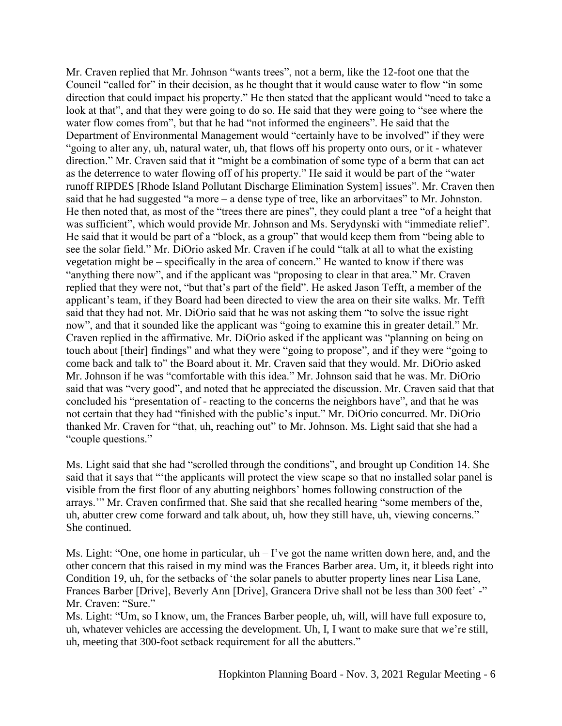Mr. Craven replied that Mr. Johnson "wants trees", not a berm, like the 12-foot one that the Council "called for" in their decision, as he thought that it would cause water to flow "in some direction that could impact his property." He then stated that the applicant would "need to take a look at that", and that they were going to do so. He said that they were going to "see where the water flow comes from", but that he had "not informed the engineers". He said that the Department of Environmental Management would "certainly have to be involved" if they were "going to alter any, uh, natural water, uh, that flows off his property onto ours, or it - whatever direction." Mr. Craven said that it "might be a combination of some type of a berm that can act as the deterrence to water flowing off of his property." He said it would be part of the "water runoff RIPDES [Rhode Island Pollutant Discharge Elimination System] issues". Mr. Craven then said that he had suggested "a more – a dense type of tree, like an arborvitaes" to Mr. Johnston. He then noted that, as most of the "trees there are pines", they could plant a tree "of a height that was sufficient", which would provide Mr. Johnson and Ms. Serydynski with "immediate relief". He said that it would be part of a "block, as a group" that would keep them from "being able to see the solar field." Mr. DiOrio asked Mr. Craven if he could "talk at all to what the existing vegetation might be – specifically in the area of concern." He wanted to know if there was "anything there now", and if the applicant was "proposing to clear in that area." Mr. Craven replied that they were not, "but that's part of the field". He asked Jason Tefft, a member of the applicant's team, if they Board had been directed to view the area on their site walks. Mr. Tefft said that they had not. Mr. DiOrio said that he was not asking them "to solve the issue right now", and that it sounded like the applicant was "going to examine this in greater detail." Mr. Craven replied in the affirmative. Mr. DiOrio asked if the applicant was "planning on being on touch about [their] findings" and what they were "going to propose", and if they were "going to come back and talk to" the Board about it. Mr. Craven said that they would. Mr. DiOrio asked Mr. Johnson if he was "comfortable with this idea." Mr. Johnson said that he was. Mr. DiOrio said that was "very good", and noted that he appreciated the discussion. Mr. Craven said that that concluded his "presentation of - reacting to the concerns the neighbors have", and that he was not certain that they had "finished with the public's input." Mr. DiOrio concurred. Mr. DiOrio thanked Mr. Craven for "that, uh, reaching out" to Mr. Johnson. Ms. Light said that she had a "couple questions."

Ms. Light said that she had "scrolled through the conditions", and brought up Condition 14. She said that it says that "'the applicants will protect the view scape so that no installed solar panel is visible from the first floor of any abutting neighbors' homes following construction of the arrays.'" Mr. Craven confirmed that. She said that she recalled hearing "some members of the, uh, abutter crew come forward and talk about, uh, how they still have, uh, viewing concerns." She continued.

Ms. Light: "One, one home in particular, uh – I've got the name written down here, and, and the other concern that this raised in my mind was the Frances Barber area. Um, it, it bleeds right into Condition 19, uh, for the setbacks of 'the solar panels to abutter property lines near Lisa Lane, Frances Barber [Drive], Beverly Ann [Drive], Grancera Drive shall not be less than 300 feet' -" Mr. Craven: "Sure."

Ms. Light: "Um, so I know, um, the Frances Barber people, uh, will, will have full exposure to, uh, whatever vehicles are accessing the development. Uh, I, I want to make sure that we're still, uh, meeting that 300-foot setback requirement for all the abutters."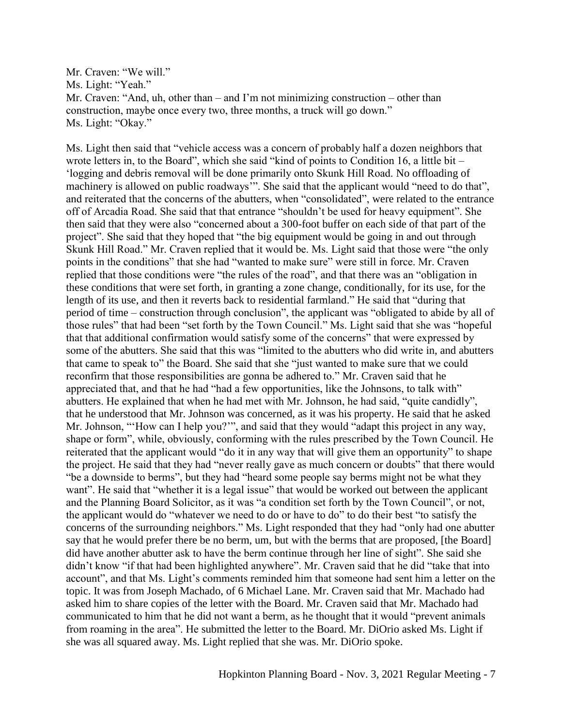Mr. Craven: "We will." Ms. Light: "Yeah." Mr. Craven: "And, uh, other than – and I'm not minimizing construction – other than construction, maybe once every two, three months, a truck will go down." Ms. Light: "Okay."

Ms. Light then said that "vehicle access was a concern of probably half a dozen neighbors that wrote letters in, to the Board", which she said "kind of points to Condition 16, a little bit – 'logging and debris removal will be done primarily onto Skunk Hill Road. No offloading of machinery is allowed on public roadways". She said that the applicant would "need to do that", and reiterated that the concerns of the abutters, when "consolidated", were related to the entrance off of Arcadia Road. She said that that entrance "shouldn't be used for heavy equipment". She then said that they were also "concerned about a 300-foot buffer on each side of that part of the project". She said that they hoped that "the big equipment would be going in and out through Skunk Hill Road." Mr. Craven replied that it would be. Ms. Light said that those were "the only points in the conditions" that she had "wanted to make sure" were still in force. Mr. Craven replied that those conditions were "the rules of the road", and that there was an "obligation in these conditions that were set forth, in granting a zone change, conditionally, for its use, for the length of its use, and then it reverts back to residential farmland." He said that "during that period of time – construction through conclusion", the applicant was "obligated to abide by all of those rules" that had been "set forth by the Town Council." Ms. Light said that she was "hopeful that that additional confirmation would satisfy some of the concerns" that were expressed by some of the abutters. She said that this was "limited to the abutters who did write in, and abutters that came to speak to" the Board. She said that she "just wanted to make sure that we could reconfirm that those responsibilities are gonna be adhered to." Mr. Craven said that he appreciated that, and that he had "had a few opportunities, like the Johnsons, to talk with" abutters. He explained that when he had met with Mr. Johnson, he had said, "quite candidly", that he understood that Mr. Johnson was concerned, as it was his property. He said that he asked Mr. Johnson, "'How can I help you?'", and said that they would "adapt this project in any way, shape or form", while, obviously, conforming with the rules prescribed by the Town Council. He reiterated that the applicant would "do it in any way that will give them an opportunity" to shape the project. He said that they had "never really gave as much concern or doubts" that there would "be a downside to berms", but they had "heard some people say berms might not be what they want". He said that "whether it is a legal issue" that would be worked out between the applicant and the Planning Board Solicitor, as it was "a condition set forth by the Town Council", or not, the applicant would do "whatever we need to do or have to do" to do their best "to satisfy the concerns of the surrounding neighbors." Ms. Light responded that they had "only had one abutter say that he would prefer there be no berm, um, but with the berms that are proposed, [the Board] did have another abutter ask to have the berm continue through her line of sight". She said she didn't know "if that had been highlighted anywhere". Mr. Craven said that he did "take that into account", and that Ms. Light's comments reminded him that someone had sent him a letter on the topic. It was from Joseph Machado, of 6 Michael Lane. Mr. Craven said that Mr. Machado had asked him to share copies of the letter with the Board. Mr. Craven said that Mr. Machado had communicated to him that he did not want a berm, as he thought that it would "prevent animals from roaming in the area". He submitted the letter to the Board. Mr. DiOrio asked Ms. Light if she was all squared away. Ms. Light replied that she was. Mr. DiOrio spoke.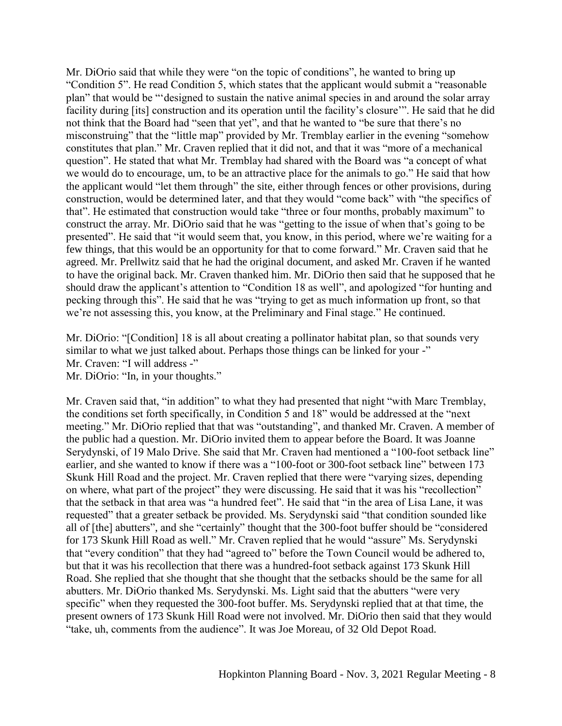Mr. DiOrio said that while they were "on the topic of conditions", he wanted to bring up "Condition 5". He read Condition 5, which states that the applicant would submit a "reasonable plan" that would be "'designed to sustain the native animal species in and around the solar array facility during [its] construction and its operation until the facility's closure'". He said that he did not think that the Board had "seen that yet", and that he wanted to "be sure that there's no misconstruing" that the "little map" provided by Mr. Tremblay earlier in the evening "somehow constitutes that plan." Mr. Craven replied that it did not, and that it was "more of a mechanical question". He stated that what Mr. Tremblay had shared with the Board was "a concept of what we would do to encourage, um, to be an attractive place for the animals to go." He said that how the applicant would "let them through" the site, either through fences or other provisions, during construction, would be determined later, and that they would "come back" with "the specifics of that". He estimated that construction would take "three or four months, probably maximum" to construct the array. Mr. DiOrio said that he was "getting to the issue of when that's going to be presented". He said that "it would seem that, you know, in this period, where we're waiting for a few things, that this would be an opportunity for that to come forward." Mr. Craven said that he agreed. Mr. Prellwitz said that he had the original document, and asked Mr. Craven if he wanted to have the original back. Mr. Craven thanked him. Mr. DiOrio then said that he supposed that he should draw the applicant's attention to "Condition 18 as well", and apologized "for hunting and pecking through this". He said that he was "trying to get as much information up front, so that we're not assessing this, you know, at the Preliminary and Final stage." He continued.

Mr. DiOrio: "[Condition] 18 is all about creating a pollinator habitat plan, so that sounds very similar to what we just talked about. Perhaps those things can be linked for your -" Mr. Craven: "I will address -" Mr. DiOrio: "In, in your thoughts."

Mr. Craven said that, "in addition" to what they had presented that night "with Marc Tremblay, the conditions set forth specifically, in Condition 5 and 18" would be addressed at the "next meeting." Mr. DiOrio replied that that was "outstanding", and thanked Mr. Craven. A member of the public had a question. Mr. DiOrio invited them to appear before the Board. It was Joanne Serydynski, of 19 Malo Drive. She said that Mr. Craven had mentioned a "100-foot setback line" earlier, and she wanted to know if there was a "100-foot or 300-foot setback line" between 173 Skunk Hill Road and the project. Mr. Craven replied that there were "varying sizes, depending on where, what part of the project" they were discussing. He said that it was his "recollection" that the setback in that area was "a hundred feet". He said that "in the area of Lisa Lane, it was requested" that a greater setback be provided. Ms. Serydynski said "that condition sounded like all of [the] abutters", and she "certainly" thought that the 300-foot buffer should be "considered for 173 Skunk Hill Road as well." Mr. Craven replied that he would "assure" Ms. Serydynski that "every condition" that they had "agreed to" before the Town Council would be adhered to, but that it was his recollection that there was a hundred-foot setback against 173 Skunk Hill Road. She replied that she thought that she thought that the setbacks should be the same for all abutters. Mr. DiOrio thanked Ms. Serydynski. Ms. Light said that the abutters "were very specific" when they requested the 300-foot buffer. Ms. Serydynski replied that at that time, the present owners of 173 Skunk Hill Road were not involved. Mr. DiOrio then said that they would "take, uh, comments from the audience". It was Joe Moreau, of 32 Old Depot Road.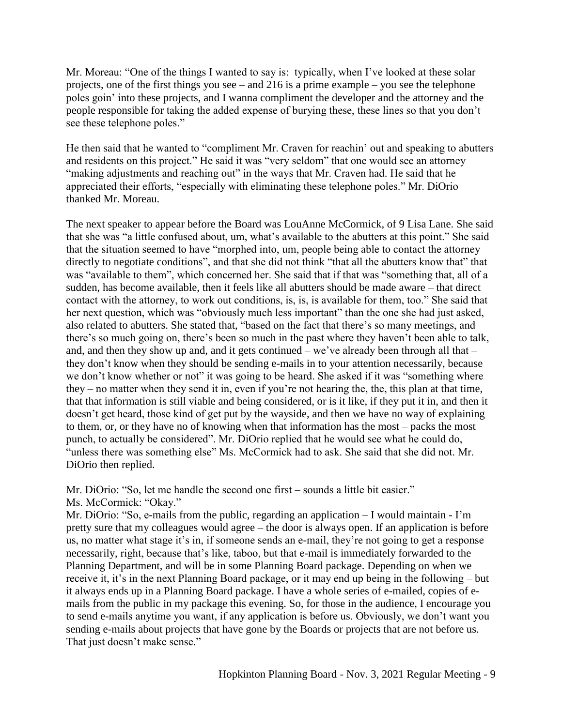Mr. Moreau: "One of the things I wanted to say is: typically, when I've looked at these solar projects, one of the first things you see – and 216 is a prime example – you see the telephone poles goin' into these projects, and I wanna compliment the developer and the attorney and the people responsible for taking the added expense of burying these, these lines so that you don't see these telephone poles."

He then said that he wanted to "compliment Mr. Craven for reachin' out and speaking to abutters and residents on this project." He said it was "very seldom" that one would see an attorney "making adjustments and reaching out" in the ways that Mr. Craven had. He said that he appreciated their efforts, "especially with eliminating these telephone poles." Mr. DiOrio thanked Mr. Moreau.

The next speaker to appear before the Board was LouAnne McCormick, of 9 Lisa Lane. She said that she was "a little confused about, um, what's available to the abutters at this point." She said that the situation seemed to have "morphed into, um, people being able to contact the attorney directly to negotiate conditions", and that she did not think "that all the abutters know that" that was "available to them", which concerned her. She said that if that was "something that, all of a sudden, has become available, then it feels like all abutters should be made aware – that direct contact with the attorney, to work out conditions, is, is, is available for them, too." She said that her next question, which was "obviously much less important" than the one she had just asked, also related to abutters. She stated that, "based on the fact that there's so many meetings, and there's so much going on, there's been so much in the past where they haven't been able to talk, and, and then they show up and, and it gets continued – we've already been through all that – they don't know when they should be sending e-mails in to your attention necessarily, because we don't know whether or not" it was going to be heard. She asked if it was "something where they – no matter when they send it in, even if you're not hearing the, the, this plan at that time, that that information is still viable and being considered, or is it like, if they put it in, and then it doesn't get heard, those kind of get put by the wayside, and then we have no way of explaining to them, or, or they have no of knowing when that information has the most – packs the most punch, to actually be considered". Mr. DiOrio replied that he would see what he could do, "unless there was something else" Ms. McCormick had to ask. She said that she did not. Mr. DiOrio then replied.

Mr. DiOrio: "So, let me handle the second one first – sounds a little bit easier." Ms. McCormick: "Okay."

Mr. DiOrio: "So, e-mails from the public, regarding an application – I would maintain - I'm pretty sure that my colleagues would agree – the door is always open. If an application is before us, no matter what stage it's in, if someone sends an e-mail, they're not going to get a response necessarily, right, because that's like, taboo, but that e-mail is immediately forwarded to the Planning Department, and will be in some Planning Board package. Depending on when we receive it, it's in the next Planning Board package, or it may end up being in the following – but it always ends up in a Planning Board package. I have a whole series of e-mailed, copies of emails from the public in my package this evening. So, for those in the audience, I encourage you to send e-mails anytime you want, if any application is before us. Obviously, we don't want you sending e-mails about projects that have gone by the Boards or projects that are not before us. That just doesn't make sense."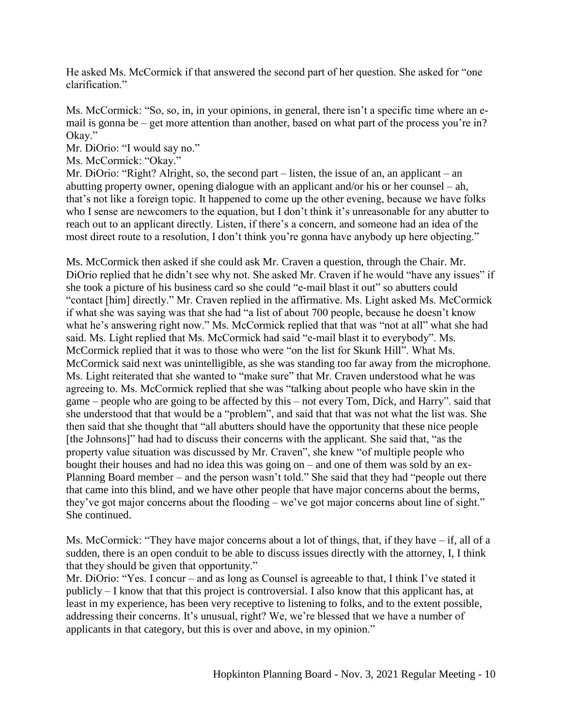He asked Ms. McCormick if that answered the second part of her question. She asked for "one clarification."

Ms. McCormick: "So, so, in, in your opinions, in general, there isn't a specific time where an email is gonna be – get more attention than another, based on what part of the process you're in? Okay."

Mr. DiOrio: "I would say no."

Ms. McCormick: "Okay."

Mr. DiOrio: "Right? Alright, so, the second part – listen, the issue of an, an applicant – an abutting property owner, opening dialogue with an applicant and/or his or her counsel – ah, that's not like a foreign topic. It happened to come up the other evening, because we have folks who I sense are newcomers to the equation, but I don't think it's unreasonable for any abutter to reach out to an applicant directly. Listen, if there's a concern, and someone had an idea of the most direct route to a resolution, I don't think you're gonna have anybody up here objecting."

Ms. McCormick then asked if she could ask Mr. Craven a question, through the Chair. Mr. DiOrio replied that he didn't see why not. She asked Mr. Craven if he would "have any issues" if she took a picture of his business card so she could "e-mail blast it out" so abutters could "contact [him] directly." Mr. Craven replied in the affirmative. Ms. Light asked Ms. McCormick if what she was saying was that she had "a list of about 700 people, because he doesn't know what he's answering right now." Ms. McCormick replied that that was "not at all" what she had said. Ms. Light replied that Ms. McCormick had said "e-mail blast it to everybody". Ms. McCormick replied that it was to those who were "on the list for Skunk Hill". What Ms. McCormick said next was unintelligible, as she was standing too far away from the microphone. Ms. Light reiterated that she wanted to "make sure" that Mr. Craven understood what he was agreeing to. Ms. McCormick replied that she was "talking about people who have skin in the game – people who are going to be affected by this – not every Tom, Dick, and Harry". said that she understood that that would be a "problem", and said that that was not what the list was. She then said that she thought that "all abutters should have the opportunity that these nice people [the Johnsons]" had had to discuss their concerns with the applicant. She said that, "as the property value situation was discussed by Mr. Craven", she knew "of multiple people who bought their houses and had no idea this was going on – and one of them was sold by an ex-Planning Board member – and the person wasn't told." She said that they had "people out there that came into this blind, and we have other people that have major concerns about the berms, they've got major concerns about the flooding – we've got major concerns about line of sight." She continued.

Ms. McCormick: "They have major concerns about a lot of things, that, if they have – if, all of a sudden, there is an open conduit to be able to discuss issues directly with the attorney, I, I think that they should be given that opportunity."

Mr. DiOrio: "Yes. I concur – and as long as Counsel is agreeable to that, I think I've stated it publicly – I know that that this project is controversial. I also know that this applicant has, at least in my experience, has been very receptive to listening to folks, and to the extent possible, addressing their concerns. It's unusual, right? We, we're blessed that we have a number of applicants in that category, but this is over and above, in my opinion."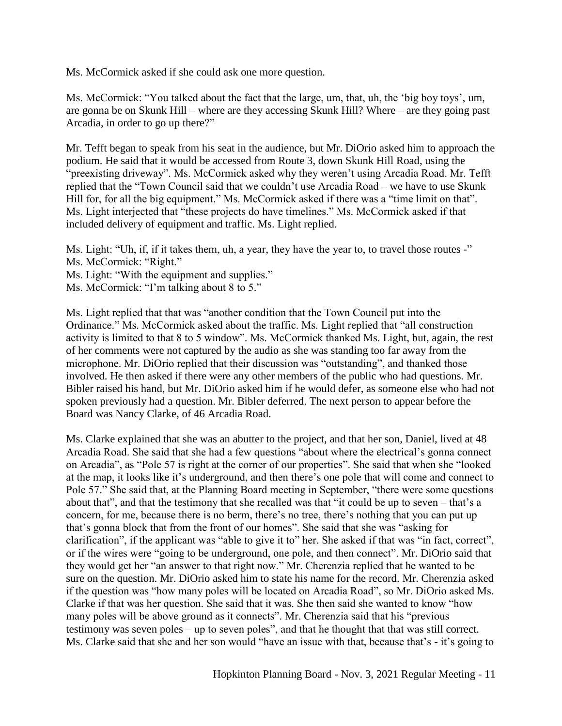Ms. McCormick asked if she could ask one more question.

Ms. McCormick: "You talked about the fact that the large, um, that, uh, the 'big boy toys', um, are gonna be on Skunk Hill – where are they accessing Skunk Hill? Where – are they going past Arcadia, in order to go up there?"

Mr. Tefft began to speak from his seat in the audience, but Mr. DiOrio asked him to approach the podium. He said that it would be accessed from Route 3, down Skunk Hill Road, using the "preexisting driveway". Ms. McCormick asked why they weren't using Arcadia Road. Mr. Tefft replied that the "Town Council said that we couldn't use Arcadia Road – we have to use Skunk Hill for, for all the big equipment." Ms. McCormick asked if there was a "time limit on that". Ms. Light interjected that "these projects do have timelines." Ms. McCormick asked if that included delivery of equipment and traffic. Ms. Light replied.

Ms. Light: "Uh, if, if it takes them, uh, a year, they have the year to, to travel those routes -" Ms. McCormick: "Right."

- Ms. Light: "With the equipment and supplies."
- Ms. McCormick: "I'm talking about 8 to 5."

Ms. Light replied that that was "another condition that the Town Council put into the Ordinance." Ms. McCormick asked about the traffic. Ms. Light replied that "all construction activity is limited to that 8 to 5 window". Ms. McCormick thanked Ms. Light, but, again, the rest of her comments were not captured by the audio as she was standing too far away from the microphone. Mr. DiOrio replied that their discussion was "outstanding", and thanked those involved. He then asked if there were any other members of the public who had questions. Mr. Bibler raised his hand, but Mr. DiOrio asked him if he would defer, as someone else who had not spoken previously had a question. Mr. Bibler deferred. The next person to appear before the Board was Nancy Clarke, of 46 Arcadia Road.

Ms. Clarke explained that she was an abutter to the project, and that her son, Daniel, lived at 48 Arcadia Road. She said that she had a few questions "about where the electrical's gonna connect on Arcadia", as "Pole 57 is right at the corner of our properties". She said that when she "looked at the map, it looks like it's underground, and then there's one pole that will come and connect to Pole 57." She said that, at the Planning Board meeting in September, "there were some questions about that", and that the testimony that she recalled was that "it could be up to seven – that's a concern, for me, because there is no berm, there's no tree, there's nothing that you can put up that's gonna block that from the front of our homes". She said that she was "asking for clarification", if the applicant was "able to give it to" her. She asked if that was "in fact, correct", or if the wires were "going to be underground, one pole, and then connect". Mr. DiOrio said that they would get her "an answer to that right now." Mr. Cherenzia replied that he wanted to be sure on the question. Mr. DiOrio asked him to state his name for the record. Mr. Cherenzia asked if the question was "how many poles will be located on Arcadia Road", so Mr. DiOrio asked Ms. Clarke if that was her question. She said that it was. She then said she wanted to know "how many poles will be above ground as it connects". Mr. Cherenzia said that his "previous testimony was seven poles – up to seven poles", and that he thought that that was still correct. Ms. Clarke said that she and her son would "have an issue with that, because that's - it's going to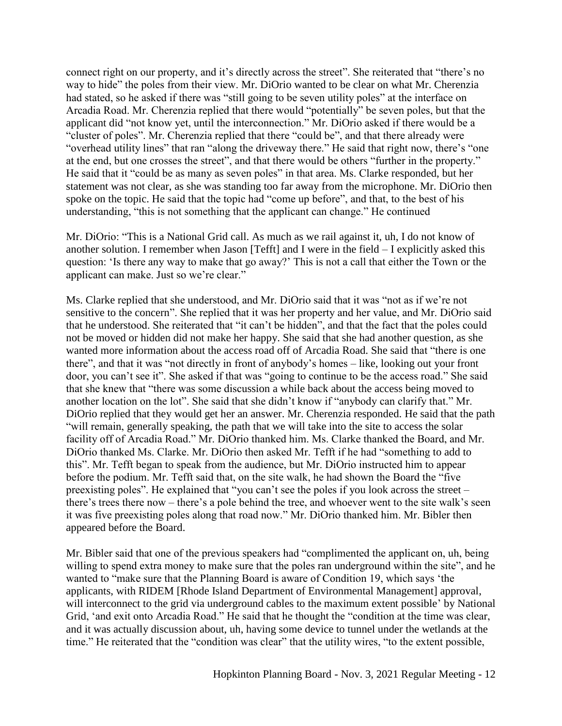connect right on our property, and it's directly across the street". She reiterated that "there's no way to hide" the poles from their view. Mr. DiOrio wanted to be clear on what Mr. Cherenzia had stated, so he asked if there was "still going to be seven utility poles" at the interface on Arcadia Road. Mr. Cherenzia replied that there would "potentially" be seven poles, but that the applicant did "not know yet, until the interconnection." Mr. DiOrio asked if there would be a "cluster of poles". Mr. Cherenzia replied that there "could be", and that there already were "overhead utility lines" that ran "along the driveway there." He said that right now, there's "one at the end, but one crosses the street", and that there would be others "further in the property." He said that it "could be as many as seven poles" in that area. Ms. Clarke responded, but her statement was not clear, as she was standing too far away from the microphone. Mr. DiOrio then spoke on the topic. He said that the topic had "come up before", and that, to the best of his understanding, "this is not something that the applicant can change." He continued

Mr. DiOrio: "This is a National Grid call. As much as we rail against it, uh, I do not know of another solution. I remember when Jason [Tefft] and I were in the field – I explicitly asked this question: 'Is there any way to make that go away?' This is not a call that either the Town or the applicant can make. Just so we're clear."

Ms. Clarke replied that she understood, and Mr. DiOrio said that it was "not as if we're not sensitive to the concern". She replied that it was her property and her value, and Mr. DiOrio said that he understood. She reiterated that "it can't be hidden", and that the fact that the poles could not be moved or hidden did not make her happy. She said that she had another question, as she wanted more information about the access road off of Arcadia Road. She said that "there is one there", and that it was "not directly in front of anybody's homes – like, looking out your front door, you can't see it". She asked if that was "going to continue to be the access road." She said that she knew that "there was some discussion a while back about the access being moved to another location on the lot". She said that she didn't know if "anybody can clarify that." Mr. DiOrio replied that they would get her an answer. Mr. Cherenzia responded. He said that the path "will remain, generally speaking, the path that we will take into the site to access the solar facility off of Arcadia Road." Mr. DiOrio thanked him. Ms. Clarke thanked the Board, and Mr. DiOrio thanked Ms. Clarke. Mr. DiOrio then asked Mr. Tefft if he had "something to add to this". Mr. Tefft began to speak from the audience, but Mr. DiOrio instructed him to appear before the podium. Mr. Tefft said that, on the site walk, he had shown the Board the "five preexisting poles". He explained that "you can't see the poles if you look across the street – there's trees there now – there's a pole behind the tree, and whoever went to the site walk's seen it was five preexisting poles along that road now." Mr. DiOrio thanked him. Mr. Bibler then appeared before the Board.

Mr. Bibler said that one of the previous speakers had "complimented the applicant on, uh, being willing to spend extra money to make sure that the poles ran underground within the site", and he wanted to "make sure that the Planning Board is aware of Condition 19, which says 'the applicants, with RIDEM [Rhode Island Department of Environmental Management] approval, will interconnect to the grid via underground cables to the maximum extent possible' by National Grid, 'and exit onto Arcadia Road." He said that he thought the "condition at the time was clear, and it was actually discussion about, uh, having some device to tunnel under the wetlands at the time." He reiterated that the "condition was clear" that the utility wires, "to the extent possible,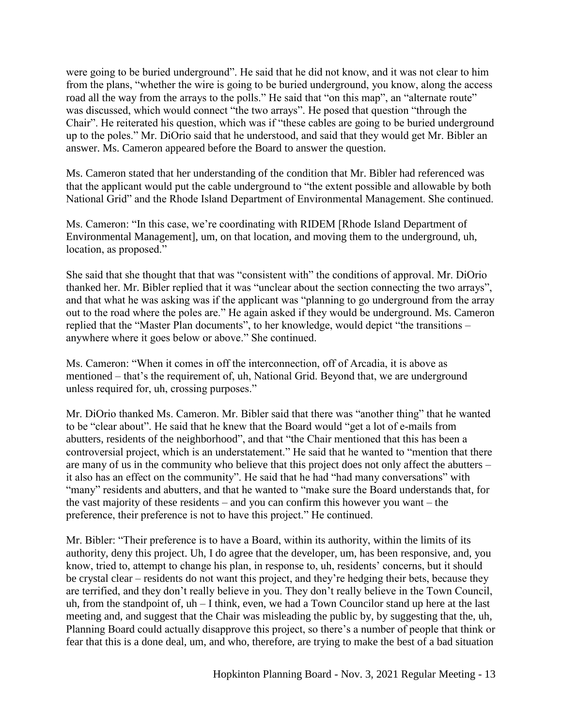were going to be buried underground". He said that he did not know, and it was not clear to him from the plans, "whether the wire is going to be buried underground, you know, along the access road all the way from the arrays to the polls." He said that "on this map", an "alternate route" was discussed, which would connect "the two arrays". He posed that question "through the Chair". He reiterated his question, which was if "these cables are going to be buried underground up to the poles." Mr. DiOrio said that he understood, and said that they would get Mr. Bibler an answer. Ms. Cameron appeared before the Board to answer the question.

Ms. Cameron stated that her understanding of the condition that Mr. Bibler had referenced was that the applicant would put the cable underground to "the extent possible and allowable by both National Grid" and the Rhode Island Department of Environmental Management. She continued.

Ms. Cameron: "In this case, we're coordinating with RIDEM [Rhode Island Department of Environmental Management], um, on that location, and moving them to the underground, uh, location, as proposed."

She said that she thought that that was "consistent with" the conditions of approval. Mr. DiOrio thanked her. Mr. Bibler replied that it was "unclear about the section connecting the two arrays", and that what he was asking was if the applicant was "planning to go underground from the array out to the road where the poles are." He again asked if they would be underground. Ms. Cameron replied that the "Master Plan documents", to her knowledge, would depict "the transitions – anywhere where it goes below or above." She continued.

Ms. Cameron: "When it comes in off the interconnection, off of Arcadia, it is above as mentioned – that's the requirement of, uh, National Grid. Beyond that, we are underground unless required for, uh, crossing purposes."

Mr. DiOrio thanked Ms. Cameron. Mr. Bibler said that there was "another thing" that he wanted to be "clear about". He said that he knew that the Board would "get a lot of e-mails from abutters, residents of the neighborhood", and that "the Chair mentioned that this has been a controversial project, which is an understatement." He said that he wanted to "mention that there are many of us in the community who believe that this project does not only affect the abutters – it also has an effect on the community". He said that he had "had many conversations" with "many" residents and abutters, and that he wanted to "make sure the Board understands that, for the vast majority of these residents – and you can confirm this however you want – the preference, their preference is not to have this project." He continued.

Mr. Bibler: "Their preference is to have a Board, within its authority, within the limits of its authority, deny this project. Uh, I do agree that the developer, um, has been responsive, and, you know, tried to, attempt to change his plan, in response to, uh, residents' concerns, but it should be crystal clear – residents do not want this project, and they're hedging their bets, because they are terrified, and they don't really believe in you. They don't really believe in the Town Council, uh, from the standpoint of, uh – I think, even, we had a Town Councilor stand up here at the last meeting and, and suggest that the Chair was misleading the public by, by suggesting that the, uh, Planning Board could actually disapprove this project, so there's a number of people that think or fear that this is a done deal, um, and who, therefore, are trying to make the best of a bad situation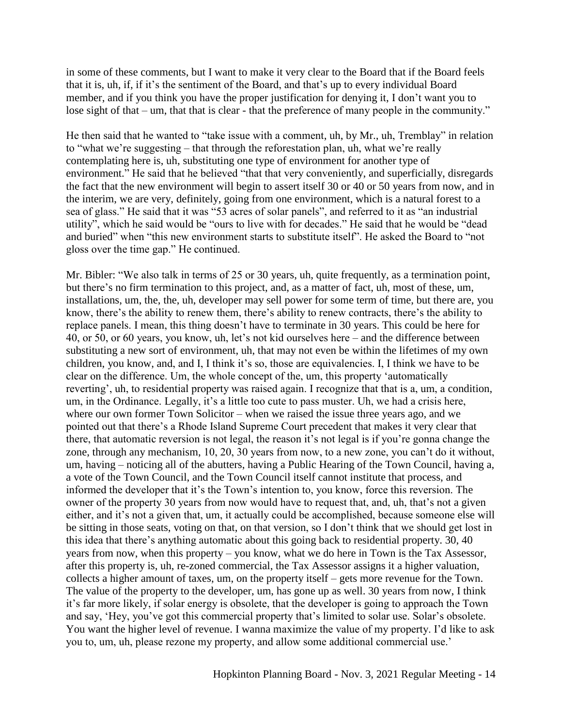in some of these comments, but I want to make it very clear to the Board that if the Board feels that it is, uh, if, if it's the sentiment of the Board, and that's up to every individual Board member, and if you think you have the proper justification for denying it, I don't want you to lose sight of that – um, that that is clear - that the preference of many people in the community."

He then said that he wanted to "take issue with a comment, uh, by Mr., uh, Tremblay" in relation to "what we're suggesting – that through the reforestation plan, uh, what we're really contemplating here is, uh, substituting one type of environment for another type of environment." He said that he believed "that that very conveniently, and superficially, disregards the fact that the new environment will begin to assert itself 30 or 40 or 50 years from now, and in the interim, we are very, definitely, going from one environment, which is a natural forest to a sea of glass." He said that it was "53 acres of solar panels", and referred to it as "an industrial utility", which he said would be "ours to live with for decades." He said that he would be "dead and buried" when "this new environment starts to substitute itself". He asked the Board to "not gloss over the time gap." He continued.

Mr. Bibler: "We also talk in terms of 25 or 30 years, uh, quite frequently, as a termination point, but there's no firm termination to this project, and, as a matter of fact, uh, most of these, um, installations, um, the, the, uh, developer may sell power for some term of time, but there are, you know, there's the ability to renew them, there's ability to renew contracts, there's the ability to replace panels. I mean, this thing doesn't have to terminate in 30 years. This could be here for 40, or 50, or 60 years, you know, uh, let's not kid ourselves here – and the difference between substituting a new sort of environment, uh, that may not even be within the lifetimes of my own children, you know, and, and I, I think it's so, those are equivalencies. I, I think we have to be clear on the difference. Um, the whole concept of the, um, this property 'automatically reverting', uh, to residential property was raised again. I recognize that that is a, um, a condition, um, in the Ordinance. Legally, it's a little too cute to pass muster. Uh, we had a crisis here, where our own former Town Solicitor – when we raised the issue three years ago, and we pointed out that there's a Rhode Island Supreme Court precedent that makes it very clear that there, that automatic reversion is not legal, the reason it's not legal is if you're gonna change the zone, through any mechanism, 10, 20, 30 years from now, to a new zone, you can't do it without, um, having – noticing all of the abutters, having a Public Hearing of the Town Council, having a, a vote of the Town Council, and the Town Council itself cannot institute that process, and informed the developer that it's the Town's intention to, you know, force this reversion. The owner of the property 30 years from now would have to request that, and, uh, that's not a given either, and it's not a given that, um, it actually could be accomplished, because someone else will be sitting in those seats, voting on that, on that version, so I don't think that we should get lost in this idea that there's anything automatic about this going back to residential property. 30, 40 years from now, when this property – you know, what we do here in Town is the Tax Assessor, after this property is, uh, re-zoned commercial, the Tax Assessor assigns it a higher valuation, collects a higher amount of taxes, um, on the property itself – gets more revenue for the Town. The value of the property to the developer, um, has gone up as well. 30 years from now, I think it's far more likely, if solar energy is obsolete, that the developer is going to approach the Town and say, 'Hey, you've got this commercial property that's limited to solar use. Solar's obsolete. You want the higher level of revenue. I wanna maximize the value of my property. I'd like to ask you to, um, uh, please rezone my property, and allow some additional commercial use.'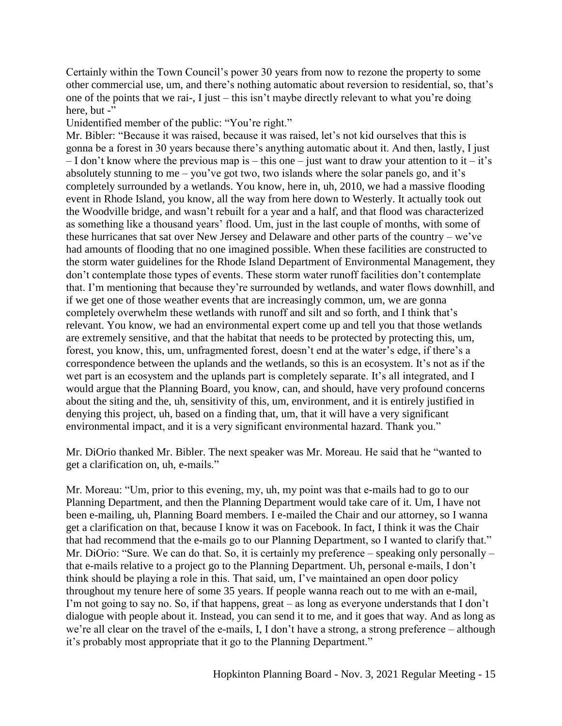Certainly within the Town Council's power 30 years from now to rezone the property to some other commercial use, um, and there's nothing automatic about reversion to residential, so, that's one of the points that we rai-, I just – this isn't maybe directly relevant to what you're doing here, but -"

Unidentified member of the public: "You're right."

Mr. Bibler: "Because it was raised, because it was raised, let's not kid ourselves that this is gonna be a forest in 30 years because there's anything automatic about it. And then, lastly, I just  $-$  I don't know where the previous map is – this one – just want to draw your attention to it – it's absolutely stunning to me – you've got two, two islands where the solar panels go, and it's completely surrounded by a wetlands. You know, here in, uh, 2010, we had a massive flooding event in Rhode Island, you know, all the way from here down to Westerly. It actually took out the Woodville bridge, and wasn't rebuilt for a year and a half, and that flood was characterized as something like a thousand years' flood. Um, just in the last couple of months, with some of these hurricanes that sat over New Jersey and Delaware and other parts of the country – we've had amounts of flooding that no one imagined possible. When these facilities are constructed to the storm water guidelines for the Rhode Island Department of Environmental Management, they don't contemplate those types of events. These storm water runoff facilities don't contemplate that. I'm mentioning that because they're surrounded by wetlands, and water flows downhill, and if we get one of those weather events that are increasingly common, um, we are gonna completely overwhelm these wetlands with runoff and silt and so forth, and I think that's relevant. You know, we had an environmental expert come up and tell you that those wetlands are extremely sensitive, and that the habitat that needs to be protected by protecting this, um, forest, you know, this, um, unfragmented forest, doesn't end at the water's edge, if there's a correspondence between the uplands and the wetlands, so this is an ecosystem. It's not as if the wet part is an ecosystem and the uplands part is completely separate. It's all integrated, and I would argue that the Planning Board, you know, can, and should, have very profound concerns about the siting and the, uh, sensitivity of this, um, environment, and it is entirely justified in denying this project, uh, based on a finding that, um, that it will have a very significant environmental impact, and it is a very significant environmental hazard. Thank you."

Mr. DiOrio thanked Mr. Bibler. The next speaker was Mr. Moreau. He said that he "wanted to get a clarification on, uh, e-mails."

Mr. Moreau: "Um, prior to this evening, my, uh, my point was that e-mails had to go to our Planning Department, and then the Planning Department would take care of it. Um, I have not been e-mailing, uh, Planning Board members. I e-mailed the Chair and our attorney, so I wanna get a clarification on that, because I know it was on Facebook. In fact, I think it was the Chair that had recommend that the e-mails go to our Planning Department, so I wanted to clarify that." Mr. DiOrio: "Sure. We can do that. So, it is certainly my preference – speaking only personally – that e-mails relative to a project go to the Planning Department. Uh, personal e-mails, I don't think should be playing a role in this. That said, um, I've maintained an open door policy throughout my tenure here of some 35 years. If people wanna reach out to me with an e-mail, I'm not going to say no. So, if that happens, great – as long as everyone understands that I don't dialogue with people about it. Instead, you can send it to me, and it goes that way. And as long as we're all clear on the travel of the e-mails, I, I don't have a strong, a strong preference – although it's probably most appropriate that it go to the Planning Department."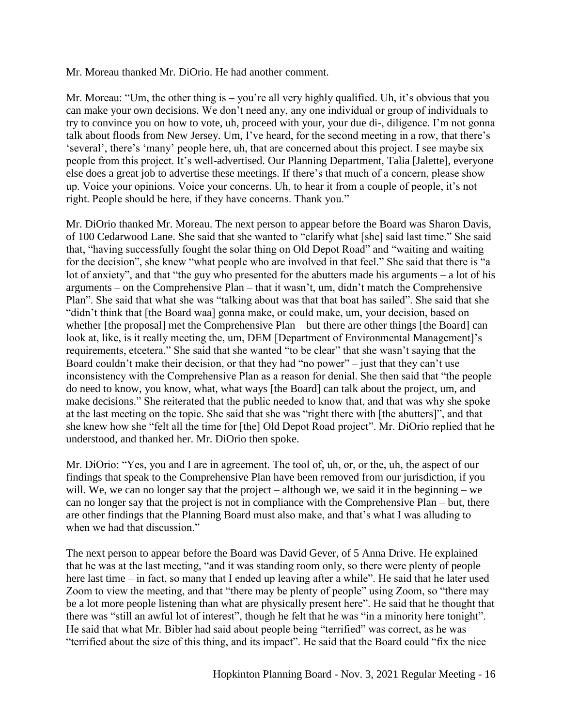Mr. Moreau thanked Mr. DiOrio. He had another comment.

Mr. Moreau: "Um, the other thing is – you're all very highly qualified. Uh, it's obvious that you can make your own decisions. We don't need any, any one individual or group of individuals to try to convince you on how to vote, uh, proceed with your, your due di-, diligence. I'm not gonna talk about floods from New Jersey. Um, I've heard, for the second meeting in a row, that there's 'several', there's 'many' people here, uh, that are concerned about this project. I see maybe six people from this project. It's well-advertised. Our Planning Department, Talia [Jalette], everyone else does a great job to advertise these meetings. If there's that much of a concern, please show up. Voice your opinions. Voice your concerns. Uh, to hear it from a couple of people, it's not right. People should be here, if they have concerns. Thank you."

Mr. DiOrio thanked Mr. Moreau. The next person to appear before the Board was Sharon Davis, of 100 Cedarwood Lane. She said that she wanted to "clarify what [she] said last time." She said that, "having successfully fought the solar thing on Old Depot Road" and "waiting and waiting for the decision", she knew "what people who are involved in that feel." She said that there is "a lot of anxiety", and that "the guy who presented for the abutters made his arguments – a lot of his arguments – on the Comprehensive Plan – that it wasn't, um, didn't match the Comprehensive Plan". She said that what she was "talking about was that that boat has sailed". She said that she "didn't think that [the Board waa] gonna make, or could make, um, your decision, based on whether [the proposal] met the Comprehensive Plan – but there are other things [the Board] can look at, like, is it really meeting the, um, DEM [Department of Environmental Management]'s requirements, etcetera." She said that she wanted "to be clear" that she wasn't saying that the Board couldn't make their decision, or that they had "no power" – just that they can't use inconsistency with the Comprehensive Plan as a reason for denial. She then said that "the people do need to know, you know, what, what ways [the Board] can talk about the project, um, and make decisions." She reiterated that the public needed to know that, and that was why she spoke at the last meeting on the topic. She said that she was "right there with [the abutters]", and that she knew how she "felt all the time for [the] Old Depot Road project". Mr. DiOrio replied that he understood, and thanked her. Mr. DiOrio then spoke.

Mr. DiOrio: "Yes, you and I are in agreement. The tool of, uh, or, or the, uh, the aspect of our findings that speak to the Comprehensive Plan have been removed from our jurisdiction, if you will. We, we can no longer say that the project – although we, we said it in the beginning – we can no longer say that the project is not in compliance with the Comprehensive Plan – but, there are other findings that the Planning Board must also make, and that's what I was alluding to when we had that discussion."

The next person to appear before the Board was David Gever, of 5 Anna Drive. He explained that he was at the last meeting, "and it was standing room only, so there were plenty of people here last time – in fact, so many that I ended up leaving after a while". He said that he later used Zoom to view the meeting, and that "there may be plenty of people" using Zoom, so "there may be a lot more people listening than what are physically present here". He said that he thought that there was "still an awful lot of interest", though he felt that he was "in a minority here tonight". He said that what Mr. Bibler had said about people being "terrified" was correct, as he was "terrified about the size of this thing, and its impact". He said that the Board could "fix the nice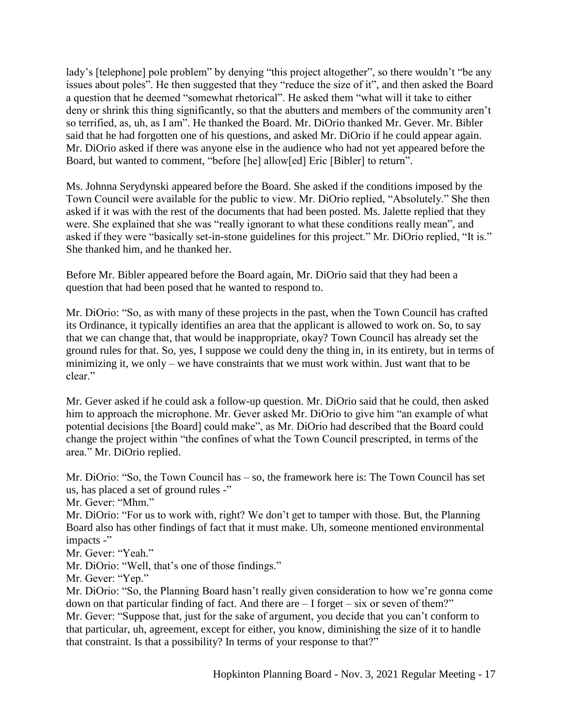lady's [telephone] pole problem" by denying "this project altogether", so there wouldn't "be any issues about poles". He then suggested that they "reduce the size of it", and then asked the Board a question that he deemed "somewhat rhetorical". He asked them "what will it take to either deny or shrink this thing significantly, so that the abutters and members of the community aren't so terrified, as, uh, as I am". He thanked the Board. Mr. DiOrio thanked Mr. Gever. Mr. Bibler said that he had forgotten one of his questions, and asked Mr. DiOrio if he could appear again. Mr. DiOrio asked if there was anyone else in the audience who had not yet appeared before the Board, but wanted to comment, "before [he] allow[ed] Eric [Bibler] to return".

Ms. Johnna Serydynski appeared before the Board. She asked if the conditions imposed by the Town Council were available for the public to view. Mr. DiOrio replied, "Absolutely." She then asked if it was with the rest of the documents that had been posted. Ms. Jalette replied that they were. She explained that she was "really ignorant to what these conditions really mean", and asked if they were "basically set-in-stone guidelines for this project." Mr. DiOrio replied, "It is." She thanked him, and he thanked her.

Before Mr. Bibler appeared before the Board again, Mr. DiOrio said that they had been a question that had been posed that he wanted to respond to.

Mr. DiOrio: "So, as with many of these projects in the past, when the Town Council has crafted its Ordinance, it typically identifies an area that the applicant is allowed to work on. So, to say that we can change that, that would be inappropriate, okay? Town Council has already set the ground rules for that. So, yes, I suppose we could deny the thing in, in its entirety, but in terms of minimizing it, we only – we have constraints that we must work within. Just want that to be clear."

Mr. Gever asked if he could ask a follow-up question. Mr. DiOrio said that he could, then asked him to approach the microphone. Mr. Gever asked Mr. DiOrio to give him "an example of what potential decisions [the Board] could make", as Mr. DiOrio had described that the Board could change the project within "the confines of what the Town Council prescripted, in terms of the area." Mr. DiOrio replied.

Mr. DiOrio: "So, the Town Council has – so, the framework here is: The Town Council has set us, has placed a set of ground rules -"

Mr. Gever: "Mhm."

Mr. DiOrio: "For us to work with, right? We don't get to tamper with those. But, the Planning Board also has other findings of fact that it must make. Uh, someone mentioned environmental impacts -"

Mr. Gever: "Yeah."

Mr. DiOrio: "Well, that's one of those findings."

Mr. Gever: "Yep."

Mr. DiOrio: "So, the Planning Board hasn't really given consideration to how we're gonna come down on that particular finding of fact. And there are  $-I$  forget  $-$  six or seven of them?" Mr. Gever: "Suppose that, just for the sake of argument, you decide that you can't conform to that particular, uh, agreement, except for either, you know, diminishing the size of it to handle that constraint. Is that a possibility? In terms of your response to that?"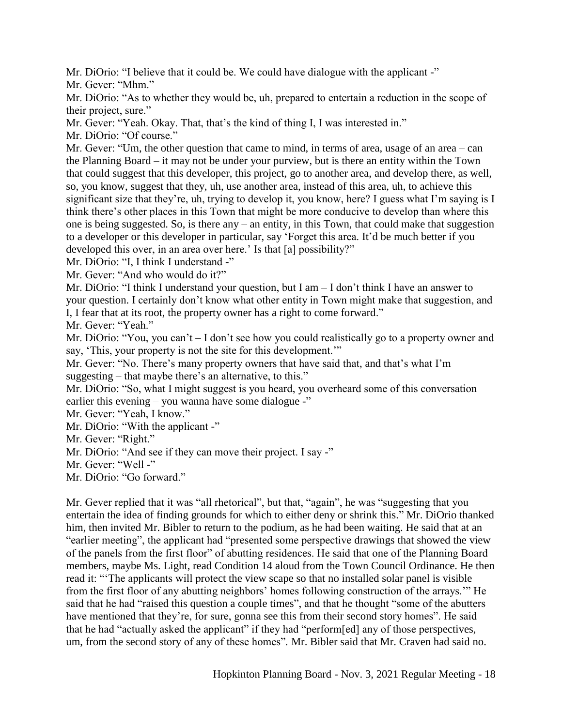Mr. DiOrio: "I believe that it could be. We could have dialogue with the applicant -"

Mr. Gever: "Mhm."

Mr. DiOrio: "As to whether they would be, uh, prepared to entertain a reduction in the scope of their project, sure."

Mr. Gever: "Yeah. Okay. That, that's the kind of thing I, I was interested in."

Mr. DiOrio: "Of course."

Mr. Gever: "Um, the other question that came to mind, in terms of area, usage of an area – can the Planning Board – it may not be under your purview, but is there an entity within the Town that could suggest that this developer, this project, go to another area, and develop there, as well, so, you know, suggest that they, uh, use another area, instead of this area, uh, to achieve this significant size that they're, uh, trying to develop it, you know, here? I guess what I'm saying is I think there's other places in this Town that might be more conducive to develop than where this one is being suggested. So, is there any – an entity, in this Town, that could make that suggestion to a developer or this developer in particular, say 'Forget this area. It'd be much better if you developed this over, in an area over here.' Is that [a] possibility?"

Mr. DiOrio: "I, I think I understand -"

Mr. Gever: "And who would do it?"

Mr. DiOrio: "I think I understand your question, but I am – I don't think I have an answer to your question. I certainly don't know what other entity in Town might make that suggestion, and I, I fear that at its root, the property owner has a right to come forward."

Mr. Gever: "Yeah."

Mr. DiOrio: "You, you can't – I don't see how you could realistically go to a property owner and say, 'This, your property is not the site for this development.'"

Mr. Gever: "No. There's many property owners that have said that, and that's what I'm suggesting – that maybe there's an alternative, to this."

Mr. DiOrio: "So, what I might suggest is you heard, you overheard some of this conversation earlier this evening – you wanna have some dialogue -"

Mr. Gever: "Yeah, I know."

Mr. DiOrio: "With the applicant -"

Mr. Gever: "Right."

Mr. DiOrio: "And see if they can move their project. I say -"

Mr. Gever: "Well -"

Mr. DiOrio: "Go forward."

Mr. Gever replied that it was "all rhetorical", but that, "again", he was "suggesting that you entertain the idea of finding grounds for which to either deny or shrink this." Mr. DiOrio thanked him, then invited Mr. Bibler to return to the podium, as he had been waiting. He said that at an "earlier meeting", the applicant had "presented some perspective drawings that showed the view of the panels from the first floor" of abutting residences. He said that one of the Planning Board members, maybe Ms. Light, read Condition 14 aloud from the Town Council Ordinance. He then read it: "'The applicants will protect the view scape so that no installed solar panel is visible from the first floor of any abutting neighbors' homes following construction of the arrays.'" He said that he had "raised this question a couple times", and that he thought "some of the abutters have mentioned that they're, for sure, gonna see this from their second story homes". He said that he had "actually asked the applicant" if they had "perform[ed] any of those perspectives, um, from the second story of any of these homes". Mr. Bibler said that Mr. Craven had said no.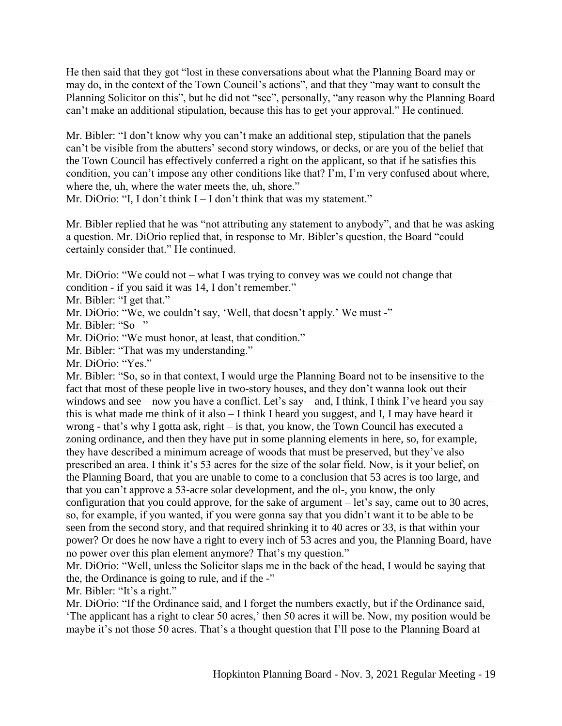He then said that they got "lost in these conversations about what the Planning Board may or may do, in the context of the Town Council's actions", and that they "may want to consult the Planning Solicitor on this", but he did not "see", personally, "any reason why the Planning Board can't make an additional stipulation, because this has to get your approval." He continued.

Mr. Bibler: "I don't know why you can't make an additional step, stipulation that the panels can't be visible from the abutters' second story windows, or decks, or are you of the belief that the Town Council has effectively conferred a right on the applicant, so that if he satisfies this condition, you can't impose any other conditions like that? I'm, I'm very confused about where, where the, uh, where the water meets the, uh, shore."

Mr. DiOrio: "I, I don't think  $I - I$  don't think that was my statement."

Mr. Bibler replied that he was "not attributing any statement to anybody", and that he was asking a question. Mr. DiOrio replied that, in response to Mr. Bibler's question, the Board "could certainly consider that." He continued.

Mr. DiOrio: "We could not – what I was trying to convey was we could not change that condition - if you said it was 14, I don't remember."

Mr. Bibler: "I get that."

Mr. DiOrio: "We, we couldn't say, 'Well, that doesn't apply.' We must -"

Mr. Bibler: "So –"

Mr. DiOrio: "We must honor, at least, that condition."

Mr. Bibler: "That was my understanding."

Mr. DiOrio: "Yes."

Mr. Bibler: "So, so in that context, I would urge the Planning Board not to be insensitive to the fact that most of these people live in two-story houses, and they don't wanna look out their windows and see – now you have a conflict. Let's say – and, I think, I think I've heard you say – this is what made me think of it also – I think I heard you suggest, and I, I may have heard it wrong - that's why I gotta ask, right – is that, you know, the Town Council has executed a zoning ordinance, and then they have put in some planning elements in here, so, for example, they have described a minimum acreage of woods that must be preserved, but they've also prescribed an area. I think it's 53 acres for the size of the solar field. Now, is it your belief, on the Planning Board, that you are unable to come to a conclusion that 53 acres is too large, and that you can't approve a 53-acre solar development, and the ol-, you know, the only configuration that you could approve, for the sake of argument – let's say, came out to 30 acres, so, for example, if you wanted, if you were gonna say that you didn't want it to be able to be seen from the second story, and that required shrinking it to 40 acres or 33, is that within your power? Or does he now have a right to every inch of 53 acres and you, the Planning Board, have no power over this plan element anymore? That's my question."

Mr. DiOrio: "Well, unless the Solicitor slaps me in the back of the head, I would be saying that the, the Ordinance is going to rule, and if the -"

Mr. Bibler: "It's a right."

Mr. DiOrio: "If the Ordinance said, and I forget the numbers exactly, but if the Ordinance said, 'The applicant has a right to clear 50 acres,' then 50 acres it will be. Now, my position would be maybe it's not those 50 acres. That's a thought question that I'll pose to the Planning Board at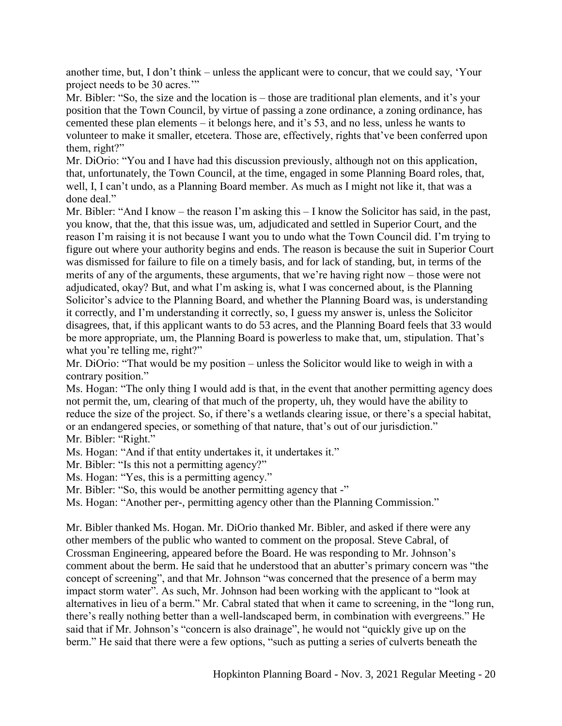another time, but, I don't think – unless the applicant were to concur, that we could say, 'Your project needs to be 30 acres.'"

Mr. Bibler: "So, the size and the location is – those are traditional plan elements, and it's your position that the Town Council, by virtue of passing a zone ordinance, a zoning ordinance, has cemented these plan elements – it belongs here, and it's 53, and no less, unless he wants to volunteer to make it smaller, etcetera. Those are, effectively, rights that've been conferred upon them, right?"

Mr. DiOrio: "You and I have had this discussion previously, although not on this application, that, unfortunately, the Town Council, at the time, engaged in some Planning Board roles, that, well, I, I can't undo, as a Planning Board member. As much as I might not like it, that was a done deal."

Mr. Bibler: "And I know – the reason I'm asking this – I know the Solicitor has said, in the past, you know, that the, that this issue was, um, adjudicated and settled in Superior Court, and the reason I'm raising it is not because I want you to undo what the Town Council did. I'm trying to figure out where your authority begins and ends. The reason is because the suit in Superior Court was dismissed for failure to file on a timely basis, and for lack of standing, but, in terms of the merits of any of the arguments, these arguments, that we're having right now – those were not adjudicated, okay? But, and what I'm asking is, what I was concerned about, is the Planning Solicitor's advice to the Planning Board, and whether the Planning Board was, is understanding it correctly, and I'm understanding it correctly, so, I guess my answer is, unless the Solicitor disagrees, that, if this applicant wants to do 53 acres, and the Planning Board feels that 33 would be more appropriate, um, the Planning Board is powerless to make that, um, stipulation. That's what you're telling me, right?"

Mr. DiOrio: "That would be my position – unless the Solicitor would like to weigh in with a contrary position."

Ms. Hogan: "The only thing I would add is that, in the event that another permitting agency does not permit the, um, clearing of that much of the property, uh, they would have the ability to reduce the size of the project. So, if there's a wetlands clearing issue, or there's a special habitat, or an endangered species, or something of that nature, that's out of our jurisdiction." Mr. Bibler: "Right."

Ms. Hogan: "And if that entity undertakes it, it undertakes it."

Mr. Bibler: "Is this not a permitting agency?"

Ms. Hogan: "Yes, this is a permitting agency."

Mr. Bibler: "So, this would be another permitting agency that -"

Ms. Hogan: "Another per-, permitting agency other than the Planning Commission."

Mr. Bibler thanked Ms. Hogan. Mr. DiOrio thanked Mr. Bibler, and asked if there were any other members of the public who wanted to comment on the proposal. Steve Cabral, of Crossman Engineering, appeared before the Board. He was responding to Mr. Johnson's comment about the berm. He said that he understood that an abutter's primary concern was "the concept of screening", and that Mr. Johnson "was concerned that the presence of a berm may impact storm water". As such, Mr. Johnson had been working with the applicant to "look at alternatives in lieu of a berm." Mr. Cabral stated that when it came to screening, in the "long run, there's really nothing better than a well-landscaped berm, in combination with evergreens." He said that if Mr. Johnson's "concern is also drainage", he would not "quickly give up on the berm." He said that there were a few options, "such as putting a series of culverts beneath the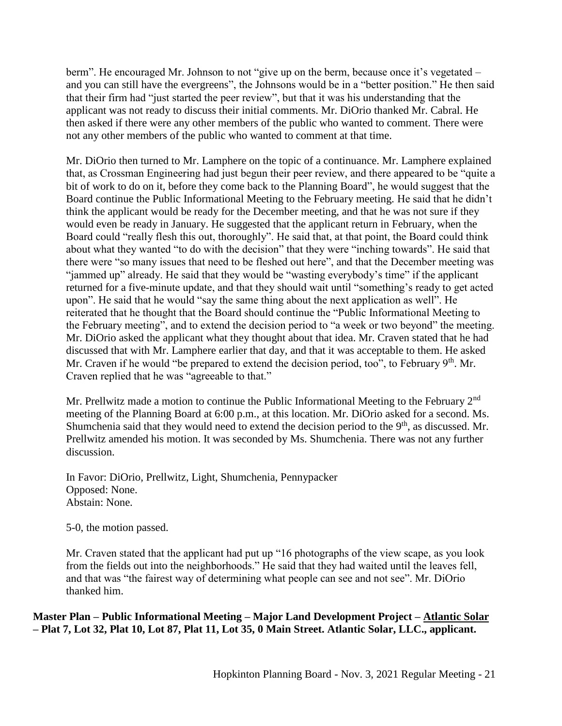berm". He encouraged Mr. Johnson to not "give up on the berm, because once it's vegetated – and you can still have the evergreens", the Johnsons would be in a "better position." He then said that their firm had "just started the peer review", but that it was his understanding that the applicant was not ready to discuss their initial comments. Mr. DiOrio thanked Mr. Cabral. He then asked if there were any other members of the public who wanted to comment. There were not any other members of the public who wanted to comment at that time.

Mr. DiOrio then turned to Mr. Lamphere on the topic of a continuance. Mr. Lamphere explained that, as Crossman Engineering had just begun their peer review, and there appeared to be "quite a bit of work to do on it, before they come back to the Planning Board", he would suggest that the Board continue the Public Informational Meeting to the February meeting. He said that he didn't think the applicant would be ready for the December meeting, and that he was not sure if they would even be ready in January. He suggested that the applicant return in February, when the Board could "really flesh this out, thoroughly". He said that, at that point, the Board could think about what they wanted "to do with the decision" that they were "inching towards". He said that there were "so many issues that need to be fleshed out here", and that the December meeting was "jammed up" already. He said that they would be "wasting everybody's time" if the applicant returned for a five-minute update, and that they should wait until "something's ready to get acted upon". He said that he would "say the same thing about the next application as well". He reiterated that he thought that the Board should continue the "Public Informational Meeting to the February meeting", and to extend the decision period to "a week or two beyond" the meeting. Mr. DiOrio asked the applicant what they thought about that idea. Mr. Craven stated that he had discussed that with Mr. Lamphere earlier that day, and that it was acceptable to them. He asked Mr. Craven if he would "be prepared to extend the decision period, too", to February 9<sup>th</sup>. Mr. Craven replied that he was "agreeable to that."

Mr. Prellwitz made a motion to continue the Public Informational Meeting to the February  $2<sup>nd</sup>$ meeting of the Planning Board at 6:00 p.m., at this location. Mr. DiOrio asked for a second. Ms. Shumchenia said that they would need to extend the decision period to the  $9<sup>th</sup>$ , as discussed. Mr. Prellwitz amended his motion. It was seconded by Ms. Shumchenia. There was not any further discussion.

In Favor: DiOrio, Prellwitz, Light, Shumchenia, Pennypacker Opposed: None. Abstain: None.

5-0, the motion passed.

Mr. Craven stated that the applicant had put up "16 photographs of the view scape, as you look from the fields out into the neighborhoods." He said that they had waited until the leaves fell, and that was "the fairest way of determining what people can see and not see". Mr. DiOrio thanked him.

**Master Plan – Public Informational Meeting – Major Land Development Project – Atlantic Solar – Plat 7, Lot 32, Plat 10, Lot 87, Plat 11, Lot 35, 0 Main Street. Atlantic Solar, LLC., applicant.**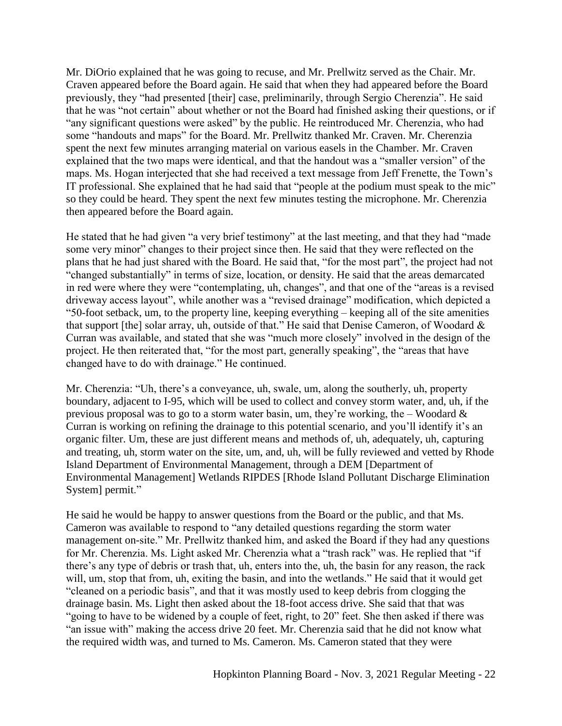Mr. DiOrio explained that he was going to recuse, and Mr. Prellwitz served as the Chair. Mr. Craven appeared before the Board again. He said that when they had appeared before the Board previously, they "had presented [their] case, preliminarily, through Sergio Cherenzia". He said that he was "not certain" about whether or not the Board had finished asking their questions, or if "any significant questions were asked" by the public. He reintroduced Mr. Cherenzia, who had some "handouts and maps" for the Board. Mr. Prellwitz thanked Mr. Craven. Mr. Cherenzia spent the next few minutes arranging material on various easels in the Chamber. Mr. Craven explained that the two maps were identical, and that the handout was a "smaller version" of the maps. Ms. Hogan interjected that she had received a text message from Jeff Frenette, the Town's IT professional. She explained that he had said that "people at the podium must speak to the mic" so they could be heard. They spent the next few minutes testing the microphone. Mr. Cherenzia then appeared before the Board again.

He stated that he had given "a very brief testimony" at the last meeting, and that they had "made some very minor" changes to their project since then. He said that they were reflected on the plans that he had just shared with the Board. He said that, "for the most part", the project had not "changed substantially" in terms of size, location, or density. He said that the areas demarcated in red were where they were "contemplating, uh, changes", and that one of the "areas is a revised driveway access layout", while another was a "revised drainage" modification, which depicted a "50-foot setback, um, to the property line, keeping everything – keeping all of the site amenities that support [the] solar array, uh, outside of that." He said that Denise Cameron, of Woodard & Curran was available, and stated that she was "much more closely" involved in the design of the project. He then reiterated that, "for the most part, generally speaking", the "areas that have changed have to do with drainage." He continued.

Mr. Cherenzia: "Uh, there's a conveyance, uh, swale, um, along the southerly, uh, property boundary, adjacent to I-95, which will be used to collect and convey storm water, and, uh, if the previous proposal was to go to a storm water basin, um, they're working, the – Woodard  $\&$ Curran is working on refining the drainage to this potential scenario, and you'll identify it's an organic filter. Um, these are just different means and methods of, uh, adequately, uh, capturing and treating, uh, storm water on the site, um, and, uh, will be fully reviewed and vetted by Rhode Island Department of Environmental Management, through a DEM [Department of Environmental Management] Wetlands RIPDES [Rhode Island Pollutant Discharge Elimination System] permit."

He said he would be happy to answer questions from the Board or the public, and that Ms. Cameron was available to respond to "any detailed questions regarding the storm water management on-site." Mr. Prellwitz thanked him, and asked the Board if they had any questions for Mr. Cherenzia. Ms. Light asked Mr. Cherenzia what a "trash rack" was. He replied that "if there's any type of debris or trash that, uh, enters into the, uh, the basin for any reason, the rack will, um, stop that from, uh, exiting the basin, and into the wetlands." He said that it would get "cleaned on a periodic basis", and that it was mostly used to keep debris from clogging the drainage basin. Ms. Light then asked about the 18-foot access drive. She said that that was "going to have to be widened by a couple of feet, right, to 20" feet. She then asked if there was "an issue with" making the access drive 20 feet. Mr. Cherenzia said that he did not know what the required width was, and turned to Ms. Cameron. Ms. Cameron stated that they were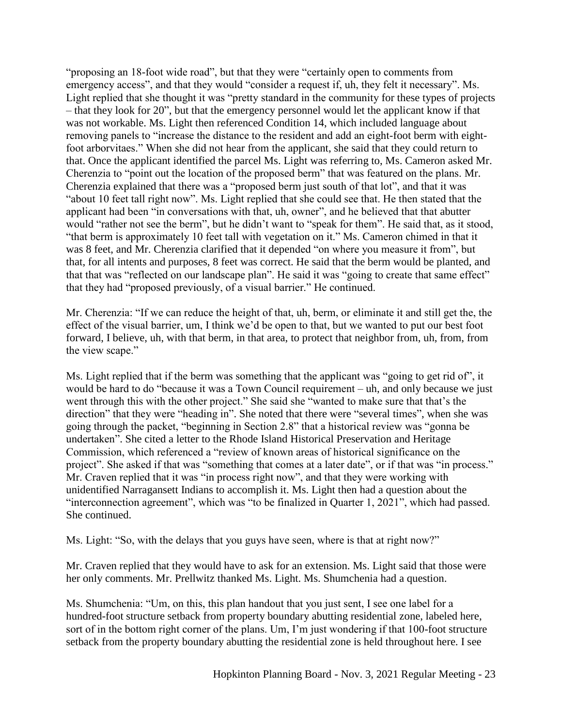"proposing an 18-foot wide road", but that they were "certainly open to comments from emergency access", and that they would "consider a request if, uh, they felt it necessary". Ms. Light replied that she thought it was "pretty standard in the community for these types of projects – that they look for 20", but that the emergency personnel would let the applicant know if that was not workable. Ms. Light then referenced Condition 14, which included language about removing panels to "increase the distance to the resident and add an eight-foot berm with eightfoot arborvitaes." When she did not hear from the applicant, she said that they could return to that. Once the applicant identified the parcel Ms. Light was referring to, Ms. Cameron asked Mr. Cherenzia to "point out the location of the proposed berm" that was featured on the plans. Mr. Cherenzia explained that there was a "proposed berm just south of that lot", and that it was "about 10 feet tall right now". Ms. Light replied that she could see that. He then stated that the applicant had been "in conversations with that, uh, owner", and he believed that that abutter would "rather not see the berm", but he didn't want to "speak for them". He said that, as it stood, "that berm is approximately 10 feet tall with vegetation on it." Ms. Cameron chimed in that it was 8 feet, and Mr. Cherenzia clarified that it depended "on where you measure it from", but that, for all intents and purposes, 8 feet was correct. He said that the berm would be planted, and that that was "reflected on our landscape plan". He said it was "going to create that same effect" that they had "proposed previously, of a visual barrier." He continued.

Mr. Cherenzia: "If we can reduce the height of that, uh, berm, or eliminate it and still get the, the effect of the visual barrier, um, I think we'd be open to that, but we wanted to put our best foot forward, I believe, uh, with that berm, in that area, to protect that neighbor from, uh, from, from the view scape."

Ms. Light replied that if the berm was something that the applicant was "going to get rid of", it would be hard to do "because it was a Town Council requirement – uh, and only because we just went through this with the other project." She said she "wanted to make sure that that's the direction" that they were "heading in". She noted that there were "several times", when she was going through the packet, "beginning in Section 2.8" that a historical review was "gonna be undertaken". She cited a letter to the Rhode Island Historical Preservation and Heritage Commission, which referenced a "review of known areas of historical significance on the project". She asked if that was "something that comes at a later date", or if that was "in process." Mr. Craven replied that it was "in process right now", and that they were working with unidentified Narragansett Indians to accomplish it. Ms. Light then had a question about the "interconnection agreement", which was "to be finalized in Quarter 1, 2021", which had passed. She continued.

Ms. Light: "So, with the delays that you guys have seen, where is that at right now?"

Mr. Craven replied that they would have to ask for an extension. Ms. Light said that those were her only comments. Mr. Prellwitz thanked Ms. Light. Ms. Shumchenia had a question.

Ms. Shumchenia: "Um, on this, this plan handout that you just sent, I see one label for a hundred-foot structure setback from property boundary abutting residential zone, labeled here, sort of in the bottom right corner of the plans. Um, I'm just wondering if that 100-foot structure setback from the property boundary abutting the residential zone is held throughout here. I see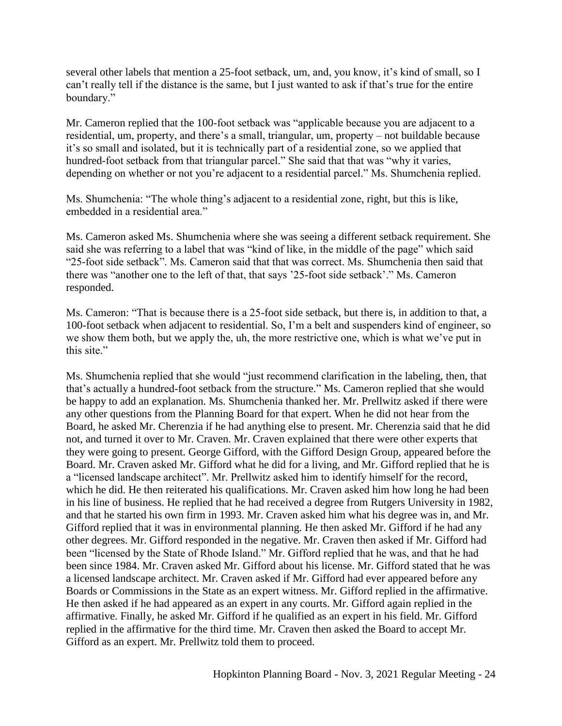several other labels that mention a 25-foot setback, um, and, you know, it's kind of small, so I can't really tell if the distance is the same, but I just wanted to ask if that's true for the entire boundary."

Mr. Cameron replied that the 100-foot setback was "applicable because you are adjacent to a residential, um, property, and there's a small, triangular, um, property – not buildable because it's so small and isolated, but it is technically part of a residential zone, so we applied that hundred-foot setback from that triangular parcel." She said that that was "why it varies, depending on whether or not you're adjacent to a residential parcel." Ms. Shumchenia replied.

Ms. Shumchenia: "The whole thing's adjacent to a residential zone, right, but this is like, embedded in a residential area."

Ms. Cameron asked Ms. Shumchenia where she was seeing a different setback requirement. She said she was referring to a label that was "kind of like, in the middle of the page" which said "25-foot side setback". Ms. Cameron said that that was correct. Ms. Shumchenia then said that there was "another one to the left of that, that says '25-foot side setback'." Ms. Cameron responded.

Ms. Cameron: "That is because there is a 25-foot side setback, but there is, in addition to that, a 100-foot setback when adjacent to residential. So, I'm a belt and suspenders kind of engineer, so we show them both, but we apply the, uh, the more restrictive one, which is what we've put in this site."

Ms. Shumchenia replied that she would "just recommend clarification in the labeling, then, that that's actually a hundred-foot setback from the structure." Ms. Cameron replied that she would be happy to add an explanation. Ms. Shumchenia thanked her. Mr. Prellwitz asked if there were any other questions from the Planning Board for that expert. When he did not hear from the Board, he asked Mr. Cherenzia if he had anything else to present. Mr. Cherenzia said that he did not, and turned it over to Mr. Craven. Mr. Craven explained that there were other experts that they were going to present. George Gifford, with the Gifford Design Group, appeared before the Board. Mr. Craven asked Mr. Gifford what he did for a living, and Mr. Gifford replied that he is a "licensed landscape architect". Mr. Prellwitz asked him to identify himself for the record, which he did. He then reiterated his qualifications. Mr. Craven asked him how long he had been in his line of business. He replied that he had received a degree from Rutgers University in 1982, and that he started his own firm in 1993. Mr. Craven asked him what his degree was in, and Mr. Gifford replied that it was in environmental planning. He then asked Mr. Gifford if he had any other degrees. Mr. Gifford responded in the negative. Mr. Craven then asked if Mr. Gifford had been "licensed by the State of Rhode Island." Mr. Gifford replied that he was, and that he had been since 1984. Mr. Craven asked Mr. Gifford about his license. Mr. Gifford stated that he was a licensed landscape architect. Mr. Craven asked if Mr. Gifford had ever appeared before any Boards or Commissions in the State as an expert witness. Mr. Gifford replied in the affirmative. He then asked if he had appeared as an expert in any courts. Mr. Gifford again replied in the affirmative. Finally, he asked Mr. Gifford if he qualified as an expert in his field. Mr. Gifford replied in the affirmative for the third time. Mr. Craven then asked the Board to accept Mr. Gifford as an expert. Mr. Prellwitz told them to proceed.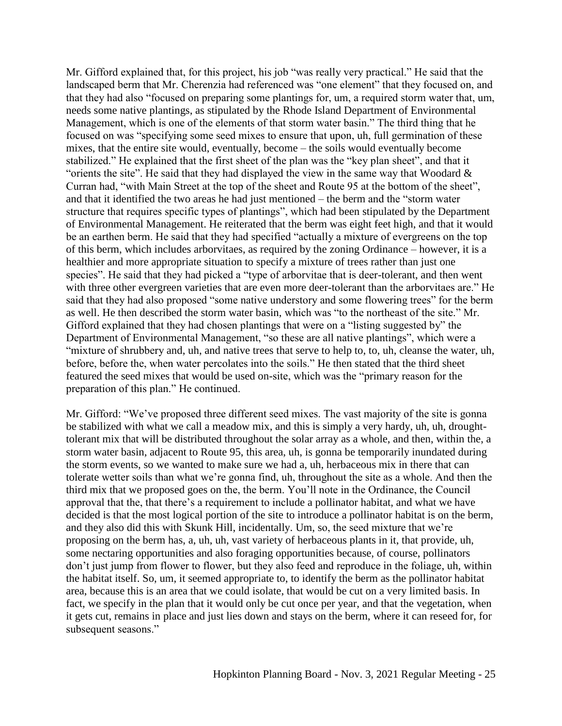Mr. Gifford explained that, for this project, his job "was really very practical." He said that the landscaped berm that Mr. Cherenzia had referenced was "one element" that they focused on, and that they had also "focused on preparing some plantings for, um, a required storm water that, um, needs some native plantings, as stipulated by the Rhode Island Department of Environmental Management, which is one of the elements of that storm water basin." The third thing that he focused on was "specifying some seed mixes to ensure that upon, uh, full germination of these mixes, that the entire site would, eventually, become – the soils would eventually become stabilized." He explained that the first sheet of the plan was the "key plan sheet", and that it "orients the site". He said that they had displayed the view in the same way that Woodard  $\&$ Curran had, "with Main Street at the top of the sheet and Route 95 at the bottom of the sheet", and that it identified the two areas he had just mentioned – the berm and the "storm water structure that requires specific types of plantings", which had been stipulated by the Department of Environmental Management. He reiterated that the berm was eight feet high, and that it would be an earthen berm. He said that they had specified "actually a mixture of evergreens on the top of this berm, which includes arborvitaes, as required by the zoning Ordinance – however, it is a healthier and more appropriate situation to specify a mixture of trees rather than just one species". He said that they had picked a "type of arborvitae that is deer-tolerant, and then went with three other evergreen varieties that are even more deer-tolerant than the arborvitaes are." He said that they had also proposed "some native understory and some flowering trees" for the berm as well. He then described the storm water basin, which was "to the northeast of the site." Mr. Gifford explained that they had chosen plantings that were on a "listing suggested by" the Department of Environmental Management, "so these are all native plantings", which were a "mixture of shrubbery and, uh, and native trees that serve to help to, to, uh, cleanse the water, uh, before, before the, when water percolates into the soils." He then stated that the third sheet featured the seed mixes that would be used on-site, which was the "primary reason for the preparation of this plan." He continued.

Mr. Gifford: "We've proposed three different seed mixes. The vast majority of the site is gonna be stabilized with what we call a meadow mix, and this is simply a very hardy, uh, uh, droughttolerant mix that will be distributed throughout the solar array as a whole, and then, within the, a storm water basin, adjacent to Route 95, this area, uh, is gonna be temporarily inundated during the storm events, so we wanted to make sure we had a, uh, herbaceous mix in there that can tolerate wetter soils than what we're gonna find, uh, throughout the site as a whole. And then the third mix that we proposed goes on the, the berm. You'll note in the Ordinance, the Council approval that the, that there's a requirement to include a pollinator habitat, and what we have decided is that the most logical portion of the site to introduce a pollinator habitat is on the berm, and they also did this with Skunk Hill, incidentally. Um, so, the seed mixture that we're proposing on the berm has, a, uh, uh, vast variety of herbaceous plants in it, that provide, uh, some nectaring opportunities and also foraging opportunities because, of course, pollinators don't just jump from flower to flower, but they also feed and reproduce in the foliage, uh, within the habitat itself. So, um, it seemed appropriate to, to identify the berm as the pollinator habitat area, because this is an area that we could isolate, that would be cut on a very limited basis. In fact, we specify in the plan that it would only be cut once per year, and that the vegetation, when it gets cut, remains in place and just lies down and stays on the berm, where it can reseed for, for subsequent seasons."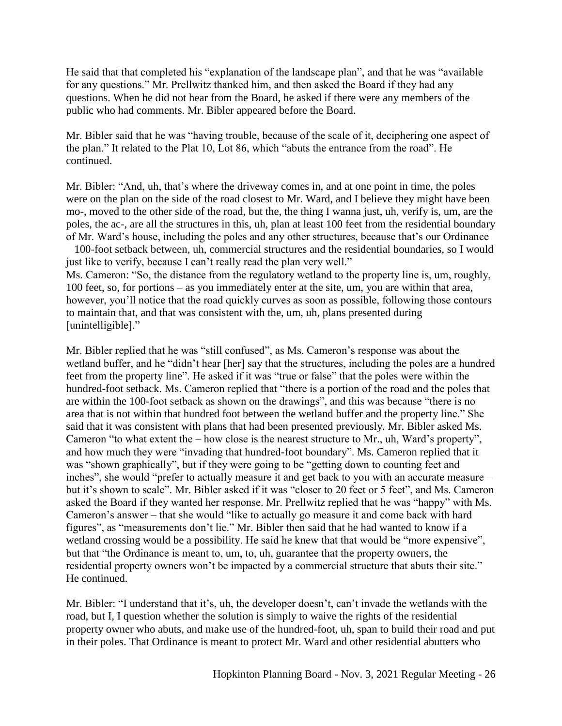He said that that completed his "explanation of the landscape plan", and that he was "available for any questions." Mr. Prellwitz thanked him, and then asked the Board if they had any questions. When he did not hear from the Board, he asked if there were any members of the public who had comments. Mr. Bibler appeared before the Board.

Mr. Bibler said that he was "having trouble, because of the scale of it, deciphering one aspect of the plan." It related to the Plat 10, Lot 86, which "abuts the entrance from the road". He continued.

Mr. Bibler: "And, uh, that's where the driveway comes in, and at one point in time, the poles were on the plan on the side of the road closest to Mr. Ward, and I believe they might have been mo-, moved to the other side of the road, but the, the thing I wanna just, uh, verify is, um, are the poles, the ac-, are all the structures in this, uh, plan at least 100 feet from the residential boundary of Mr. Ward's house, including the poles and any other structures, because that's our Ordinance – 100-foot setback between, uh, commercial structures and the residential boundaries, so I would just like to verify, because I can't really read the plan very well."

Ms. Cameron: "So, the distance from the regulatory wetland to the property line is, um, roughly, 100 feet, so, for portions – as you immediately enter at the site, um, you are within that area, however, you'll notice that the road quickly curves as soon as possible, following those contours to maintain that, and that was consistent with the, um, uh, plans presented during [unintelligible]."

Mr. Bibler replied that he was "still confused", as Ms. Cameron's response was about the wetland buffer, and he "didn't hear [her] say that the structures, including the poles are a hundred feet from the property line". He asked if it was "true or false" that the poles were within the hundred-foot setback. Ms. Cameron replied that "there is a portion of the road and the poles that are within the 100-foot setback as shown on the drawings", and this was because "there is no area that is not within that hundred foot between the wetland buffer and the property line." She said that it was consistent with plans that had been presented previously. Mr. Bibler asked Ms. Cameron "to what extent the – how close is the nearest structure to Mr., uh, Ward's property", and how much they were "invading that hundred-foot boundary". Ms. Cameron replied that it was "shown graphically", but if they were going to be "getting down to counting feet and inches", she would "prefer to actually measure it and get back to you with an accurate measure – but it's shown to scale". Mr. Bibler asked if it was "closer to 20 feet or 5 feet", and Ms. Cameron asked the Board if they wanted her response. Mr. Prellwitz replied that he was "happy" with Ms. Cameron's answer – that she would "like to actually go measure it and come back with hard figures", as "measurements don't lie." Mr. Bibler then said that he had wanted to know if a wetland crossing would be a possibility. He said he knew that that would be "more expensive", but that "the Ordinance is meant to, um, to, uh, guarantee that the property owners, the residential property owners won't be impacted by a commercial structure that abuts their site." He continued.

Mr. Bibler: "I understand that it's, uh, the developer doesn't, can't invade the wetlands with the road, but I, I question whether the solution is simply to waive the rights of the residential property owner who abuts, and make use of the hundred-foot, uh, span to build their road and put in their poles. That Ordinance is meant to protect Mr. Ward and other residential abutters who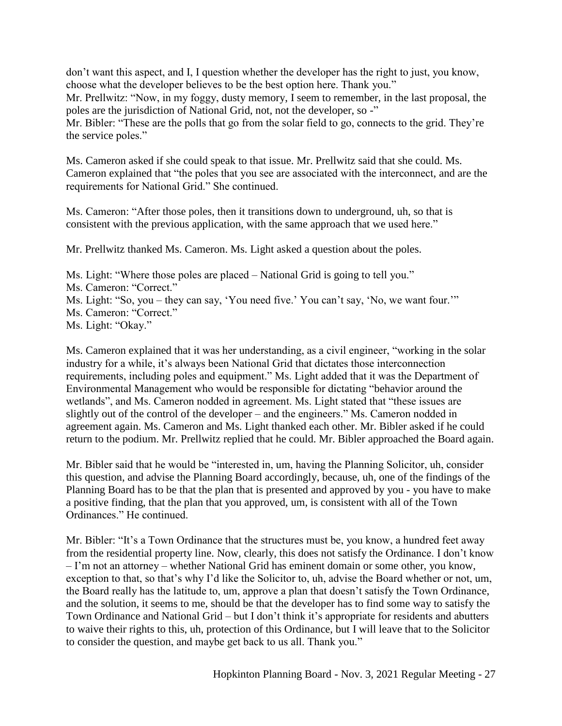don't want this aspect, and I, I question whether the developer has the right to just, you know, choose what the developer believes to be the best option here. Thank you." Mr. Prellwitz: "Now, in my foggy, dusty memory, I seem to remember, in the last proposal, the poles are the jurisdiction of National Grid, not, not the developer, so -" Mr. Bibler: "These are the polls that go from the solar field to go, connects to the grid. They're the service poles."

Ms. Cameron asked if she could speak to that issue. Mr. Prellwitz said that she could. Ms. Cameron explained that "the poles that you see are associated with the interconnect, and are the requirements for National Grid." She continued.

Ms. Cameron: "After those poles, then it transitions down to underground, uh, so that is consistent with the previous application, with the same approach that we used here."

Mr. Prellwitz thanked Ms. Cameron. Ms. Light asked a question about the poles.

Ms. Light: "Where those poles are placed – National Grid is going to tell you." Ms. Cameron: "Correct." Ms. Light: "So, you – they can say, 'You need five.' You can't say, 'No, we want four.'" Ms. Cameron: "Correct." Ms. Light: "Okay."

Ms. Cameron explained that it was her understanding, as a civil engineer, "working in the solar industry for a while, it's always been National Grid that dictates those interconnection requirements, including poles and equipment." Ms. Light added that it was the Department of Environmental Management who would be responsible for dictating "behavior around the wetlands", and Ms. Cameron nodded in agreement. Ms. Light stated that "these issues are slightly out of the control of the developer – and the engineers." Ms. Cameron nodded in agreement again. Ms. Cameron and Ms. Light thanked each other. Mr. Bibler asked if he could return to the podium. Mr. Prellwitz replied that he could. Mr. Bibler approached the Board again.

Mr. Bibler said that he would be "interested in, um, having the Planning Solicitor, uh, consider this question, and advise the Planning Board accordingly, because, uh, one of the findings of the Planning Board has to be that the plan that is presented and approved by you - you have to make a positive finding, that the plan that you approved, um, is consistent with all of the Town Ordinances." He continued.

Mr. Bibler: "It's a Town Ordinance that the structures must be, you know, a hundred feet away from the residential property line. Now, clearly, this does not satisfy the Ordinance. I don't know – I'm not an attorney – whether National Grid has eminent domain or some other, you know, exception to that, so that's why I'd like the Solicitor to, uh, advise the Board whether or not, um, the Board really has the latitude to, um, approve a plan that doesn't satisfy the Town Ordinance, and the solution, it seems to me, should be that the developer has to find some way to satisfy the Town Ordinance and National Grid – but I don't think it's appropriate for residents and abutters to waive their rights to this, uh, protection of this Ordinance, but I will leave that to the Solicitor to consider the question, and maybe get back to us all. Thank you."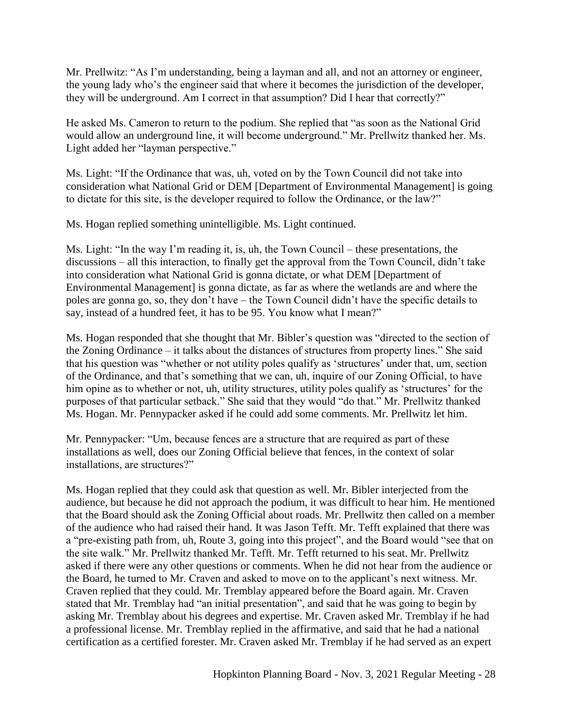Mr. Prellwitz: "As I'm understanding, being a layman and all, and not an attorney or engineer, the young lady who's the engineer said that where it becomes the jurisdiction of the developer, they will be underground. Am I correct in that assumption? Did I hear that correctly?"

He asked Ms. Cameron to return to the podium. She replied that "as soon as the National Grid would allow an underground line, it will become underground." Mr. Prellwitz thanked her. Ms. Light added her "layman perspective."

Ms. Light: "If the Ordinance that was, uh, voted on by the Town Council did not take into consideration what National Grid or DEM [Department of Environmental Management] is going to dictate for this site, is the developer required to follow the Ordinance, or the law?"

Ms. Hogan replied something unintelligible. Ms. Light continued.

Ms. Light: "In the way I'm reading it, is, uh, the Town Council – these presentations, the discussions – all this interaction, to finally get the approval from the Town Council, didn't take into consideration what National Grid is gonna dictate, or what DEM [Department of Environmental Management] is gonna dictate, as far as where the wetlands are and where the poles are gonna go, so, they don't have – the Town Council didn't have the specific details to say, instead of a hundred feet, it has to be 95. You know what I mean?"

Ms. Hogan responded that she thought that Mr. Bibler's question was "directed to the section of the Zoning Ordinance – it talks about the distances of structures from property lines." She said that his question was "whether or not utility poles qualify as 'structures' under that, um, section of the Ordinance, and that's something that we can, uh, inquire of our Zoning Official, to have him opine as to whether or not, uh, utility structures, utility poles qualify as 'structures' for the purposes of that particular setback." She said that they would "do that." Mr. Prellwitz thanked Ms. Hogan. Mr. Pennypacker asked if he could add some comments. Mr. Prellwitz let him.

Mr. Pennypacker: "Um, because fences are a structure that are required as part of these installations as well, does our Zoning Official believe that fences, in the context of solar installations, are structures?"

Ms. Hogan replied that they could ask that question as well. Mr. Bibler interjected from the audience, but because he did not approach the podium, it was difficult to hear him. He mentioned that the Board should ask the Zoning Official about roads. Mr. Prellwitz then called on a member of the audience who had raised their hand. It was Jason Tefft. Mr. Tefft explained that there was a "pre-existing path from, uh, Route 3, going into this project", and the Board would "see that on the site walk." Mr. Prellwitz thanked Mr. Tefft. Mr. Tefft returned to his seat. Mr. Prellwitz asked if there were any other questions or comments. When he did not hear from the audience or the Board, he turned to Mr. Craven and asked to move on to the applicant's next witness. Mr. Craven replied that they could. Mr. Tremblay appeared before the Board again. Mr. Craven stated that Mr. Tremblay had "an initial presentation", and said that he was going to begin by asking Mr. Tremblay about his degrees and expertise. Mr. Craven asked Mr. Tremblay if he had a professional license. Mr. Tremblay replied in the affirmative, and said that he had a national certification as a certified forester. Mr. Craven asked Mr. Tremblay if he had served as an expert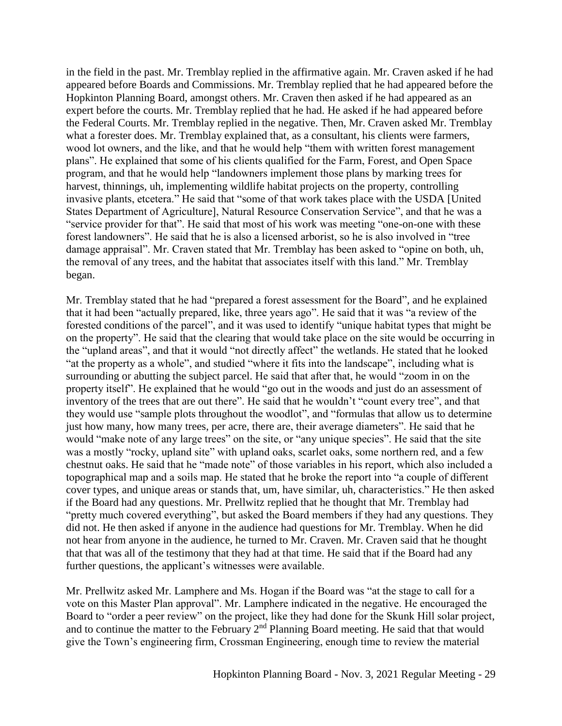in the field in the past. Mr. Tremblay replied in the affirmative again. Mr. Craven asked if he had appeared before Boards and Commissions. Mr. Tremblay replied that he had appeared before the Hopkinton Planning Board, amongst others. Mr. Craven then asked if he had appeared as an expert before the courts. Mr. Tremblay replied that he had. He asked if he had appeared before the Federal Courts. Mr. Tremblay replied in the negative. Then, Mr. Craven asked Mr. Tremblay what a forester does. Mr. Tremblay explained that, as a consultant, his clients were farmers, wood lot owners, and the like, and that he would help "them with written forest management plans". He explained that some of his clients qualified for the Farm, Forest, and Open Space program, and that he would help "landowners implement those plans by marking trees for harvest, thinnings, uh, implementing wildlife habitat projects on the property, controlling invasive plants, etcetera." He said that "some of that work takes place with the USDA [United States Department of Agriculture], Natural Resource Conservation Service", and that he was a "service provider for that". He said that most of his work was meeting "one-on-one with these forest landowners". He said that he is also a licensed arborist, so he is also involved in "tree damage appraisal". Mr. Craven stated that Mr. Tremblay has been asked to "opine on both, uh, the removal of any trees, and the habitat that associates itself with this land." Mr. Tremblay began.

Mr. Tremblay stated that he had "prepared a forest assessment for the Board", and he explained that it had been "actually prepared, like, three years ago". He said that it was "a review of the forested conditions of the parcel", and it was used to identify "unique habitat types that might be on the property". He said that the clearing that would take place on the site would be occurring in the "upland areas", and that it would "not directly affect" the wetlands. He stated that he looked "at the property as a whole", and studied "where it fits into the landscape", including what is surrounding or abutting the subject parcel. He said that after that, he would "zoom in on the property itself". He explained that he would "go out in the woods and just do an assessment of inventory of the trees that are out there". He said that he wouldn't "count every tree", and that they would use "sample plots throughout the woodlot", and "formulas that allow us to determine just how many, how many trees, per acre, there are, their average diameters". He said that he would "make note of any large trees" on the site, or "any unique species". He said that the site was a mostly "rocky, upland site" with upland oaks, scarlet oaks, some northern red, and a few chestnut oaks. He said that he "made note" of those variables in his report, which also included a topographical map and a soils map. He stated that he broke the report into "a couple of different cover types, and unique areas or stands that, um, have similar, uh, characteristics." He then asked if the Board had any questions. Mr. Prellwitz replied that he thought that Mr. Tremblay had "pretty much covered everything", but asked the Board members if they had any questions. They did not. He then asked if anyone in the audience had questions for Mr. Tremblay. When he did not hear from anyone in the audience, he turned to Mr. Craven. Mr. Craven said that he thought that that was all of the testimony that they had at that time. He said that if the Board had any further questions, the applicant's witnesses were available.

Mr. Prellwitz asked Mr. Lamphere and Ms. Hogan if the Board was "at the stage to call for a vote on this Master Plan approval". Mr. Lamphere indicated in the negative. He encouraged the Board to "order a peer review" on the project, like they had done for the Skunk Hill solar project, and to continue the matter to the February 2<sup>nd</sup> Planning Board meeting. He said that that would give the Town's engineering firm, Crossman Engineering, enough time to review the material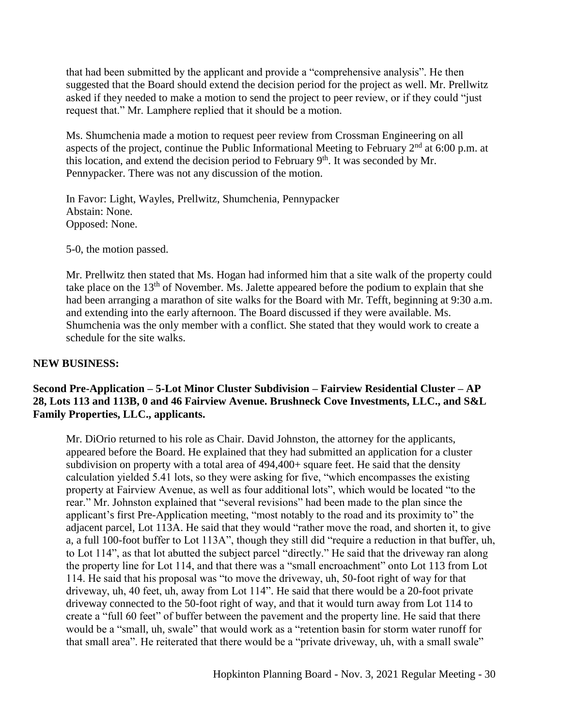that had been submitted by the applicant and provide a "comprehensive analysis". He then suggested that the Board should extend the decision period for the project as well. Mr. Prellwitz asked if they needed to make a motion to send the project to peer review, or if they could "just request that." Mr. Lamphere replied that it should be a motion.

Ms. Shumchenia made a motion to request peer review from Crossman Engineering on all aspects of the project, continue the Public Informational Meeting to February  $2<sup>nd</sup>$  at 6:00 p.m. at this location, and extend the decision period to February 9<sup>th</sup>. It was seconded by Mr. Pennypacker. There was not any discussion of the motion.

In Favor: Light, Wayles, Prellwitz, Shumchenia, Pennypacker Abstain: None. Opposed: None.

5-0, the motion passed.

Mr. Prellwitz then stated that Ms. Hogan had informed him that a site walk of the property could take place on the  $13<sup>th</sup>$  of November. Ms. Jalette appeared before the podium to explain that she had been arranging a marathon of site walks for the Board with Mr. Tefft, beginning at 9:30 a.m. and extending into the early afternoon. The Board discussed if they were available. Ms. Shumchenia was the only member with a conflict. She stated that they would work to create a schedule for the site walks.

## **NEW BUSINESS:**

# **Second Pre-Application – 5-Lot Minor Cluster Subdivision – Fairview Residential Cluster – AP 28, Lots 113 and 113B, 0 and 46 Fairview Avenue. Brushneck Cove Investments, LLC., and S&L Family Properties, LLC., applicants.**

Mr. DiOrio returned to his role as Chair. David Johnston, the attorney for the applicants, appeared before the Board. He explained that they had submitted an application for a cluster subdivision on property with a total area of 494,400+ square feet. He said that the density calculation yielded 5.41 lots, so they were asking for five, "which encompasses the existing property at Fairview Avenue, as well as four additional lots", which would be located "to the rear." Mr. Johnston explained that "several revisions" had been made to the plan since the applicant's first Pre-Application meeting, "most notably to the road and its proximity to" the adjacent parcel, Lot 113A. He said that they would "rather move the road, and shorten it, to give a, a full 100-foot buffer to Lot 113A", though they still did "require a reduction in that buffer, uh, to Lot 114", as that lot abutted the subject parcel "directly." He said that the driveway ran along the property line for Lot 114, and that there was a "small encroachment" onto Lot 113 from Lot 114. He said that his proposal was "to move the driveway, uh, 50-foot right of way for that driveway, uh, 40 feet, uh, away from Lot 114". He said that there would be a 20-foot private driveway connected to the 50-foot right of way, and that it would turn away from Lot 114 to create a "full 60 feet" of buffer between the pavement and the property line. He said that there would be a "small, uh, swale" that would work as a "retention basin for storm water runoff for that small area". He reiterated that there would be a "private driveway, uh, with a small swale"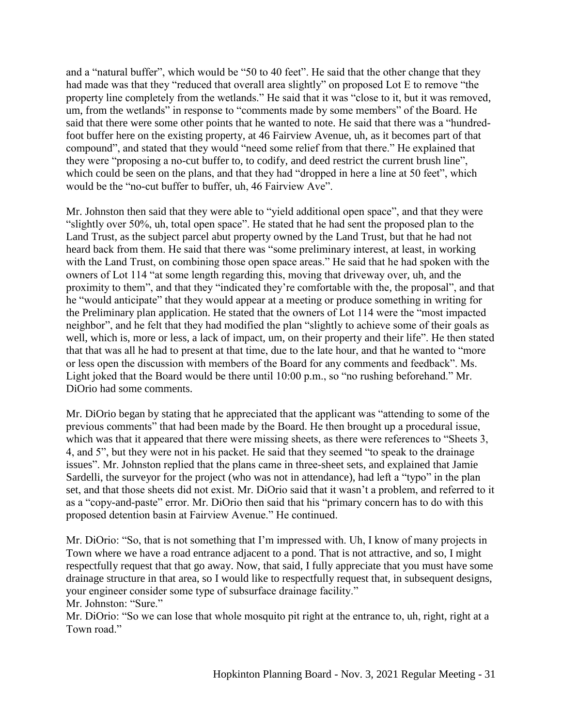and a "natural buffer", which would be "50 to 40 feet". He said that the other change that they had made was that they "reduced that overall area slightly" on proposed Lot E to remove "the property line completely from the wetlands." He said that it was "close to it, but it was removed, um, from the wetlands" in response to "comments made by some members" of the Board. He said that there were some other points that he wanted to note. He said that there was a "hundredfoot buffer here on the existing property, at 46 Fairview Avenue, uh, as it becomes part of that compound", and stated that they would "need some relief from that there." He explained that they were "proposing a no-cut buffer to, to codify, and deed restrict the current brush line", which could be seen on the plans, and that they had "dropped in here a line at 50 feet", which would be the "no-cut buffer to buffer, uh, 46 Fairview Ave".

Mr. Johnston then said that they were able to "yield additional open space", and that they were "slightly over 50%, uh, total open space". He stated that he had sent the proposed plan to the Land Trust, as the subject parcel abut property owned by the Land Trust, but that he had not heard back from them. He said that there was "some preliminary interest, at least, in working with the Land Trust, on combining those open space areas." He said that he had spoken with the owners of Lot 114 "at some length regarding this, moving that driveway over, uh, and the proximity to them", and that they "indicated they're comfortable with the, the proposal", and that he "would anticipate" that they would appear at a meeting or produce something in writing for the Preliminary plan application. He stated that the owners of Lot 114 were the "most impacted neighbor", and he felt that they had modified the plan "slightly to achieve some of their goals as well, which is, more or less, a lack of impact, um, on their property and their life". He then stated that that was all he had to present at that time, due to the late hour, and that he wanted to "more or less open the discussion with members of the Board for any comments and feedback". Ms. Light joked that the Board would be there until 10:00 p.m., so "no rushing beforehand." Mr. DiOrio had some comments.

Mr. DiOrio began by stating that he appreciated that the applicant was "attending to some of the previous comments" that had been made by the Board. He then brought up a procedural issue, which was that it appeared that there were missing sheets, as there were references to "Sheets 3, 4, and 5", but they were not in his packet. He said that they seemed "to speak to the drainage issues". Mr. Johnston replied that the plans came in three-sheet sets, and explained that Jamie Sardelli, the surveyor for the project (who was not in attendance), had left a "typo" in the plan set, and that those sheets did not exist. Mr. DiOrio said that it wasn't a problem, and referred to it as a "copy-and-paste" error. Mr. DiOrio then said that his "primary concern has to do with this proposed detention basin at Fairview Avenue." He continued.

Mr. DiOrio: "So, that is not something that I'm impressed with. Uh, I know of many projects in Town where we have a road entrance adjacent to a pond. That is not attractive, and so, I might respectfully request that that go away. Now, that said, I fully appreciate that you must have some drainage structure in that area, so I would like to respectfully request that, in subsequent designs, your engineer consider some type of subsurface drainage facility." Mr. Johnston: "Sure."

Mr. DiOrio: "So we can lose that whole mosquito pit right at the entrance to, uh, right, right at a Town road."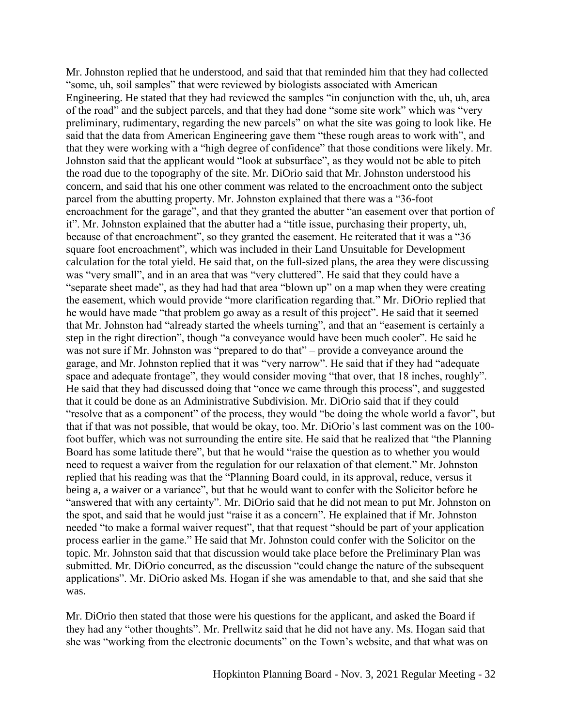Mr. Johnston replied that he understood, and said that that reminded him that they had collected "some, uh, soil samples" that were reviewed by biologists associated with American Engineering. He stated that they had reviewed the samples "in conjunction with the, uh, uh, area of the road" and the subject parcels, and that they had done "some site work" which was "very preliminary, rudimentary, regarding the new parcels" on what the site was going to look like. He said that the data from American Engineering gave them "these rough areas to work with", and that they were working with a "high degree of confidence" that those conditions were likely. Mr. Johnston said that the applicant would "look at subsurface", as they would not be able to pitch the road due to the topography of the site. Mr. DiOrio said that Mr. Johnston understood his concern, and said that his one other comment was related to the encroachment onto the subject parcel from the abutting property. Mr. Johnston explained that there was a "36-foot encroachment for the garage", and that they granted the abutter "an easement over that portion of it". Mr. Johnston explained that the abutter had a "title issue, purchasing their property, uh, because of that encroachment", so they granted the easement. He reiterated that it was a "36 square foot encroachment", which was included in their Land Unsuitable for Development calculation for the total yield. He said that, on the full-sized plans, the area they were discussing was "very small", and in an area that was "very cluttered". He said that they could have a "separate sheet made", as they had had that area "blown up" on a map when they were creating the easement, which would provide "more clarification regarding that." Mr. DiOrio replied that he would have made "that problem go away as a result of this project". He said that it seemed that Mr. Johnston had "already started the wheels turning", and that an "easement is certainly a step in the right direction", though "a conveyance would have been much cooler". He said he was not sure if Mr. Johnston was "prepared to do that" – provide a conveyance around the garage, and Mr. Johnston replied that it was "very narrow". He said that if they had "adequate space and adequate frontage", they would consider moving "that over, that 18 inches, roughly". He said that they had discussed doing that "once we came through this process", and suggested that it could be done as an Administrative Subdivision. Mr. DiOrio said that if they could "resolve that as a component" of the process, they would "be doing the whole world a favor", but that if that was not possible, that would be okay, too. Mr. DiOrio's last comment was on the 100 foot buffer, which was not surrounding the entire site. He said that he realized that "the Planning" Board has some latitude there", but that he would "raise the question as to whether you would need to request a waiver from the regulation for our relaxation of that element." Mr. Johnston replied that his reading was that the "Planning Board could, in its approval, reduce, versus it being a, a waiver or a variance", but that he would want to confer with the Solicitor before he "answered that with any certainty". Mr. DiOrio said that he did not mean to put Mr. Johnston on the spot, and said that he would just "raise it as a concern". He explained that if Mr. Johnston needed "to make a formal waiver request", that that request "should be part of your application process earlier in the game." He said that Mr. Johnston could confer with the Solicitor on the topic. Mr. Johnston said that that discussion would take place before the Preliminary Plan was submitted. Mr. DiOrio concurred, as the discussion "could change the nature of the subsequent applications". Mr. DiOrio asked Ms. Hogan if she was amendable to that, and she said that she was.

Mr. DiOrio then stated that those were his questions for the applicant, and asked the Board if they had any "other thoughts". Mr. Prellwitz said that he did not have any. Ms. Hogan said that she was "working from the electronic documents" on the Town's website, and that what was on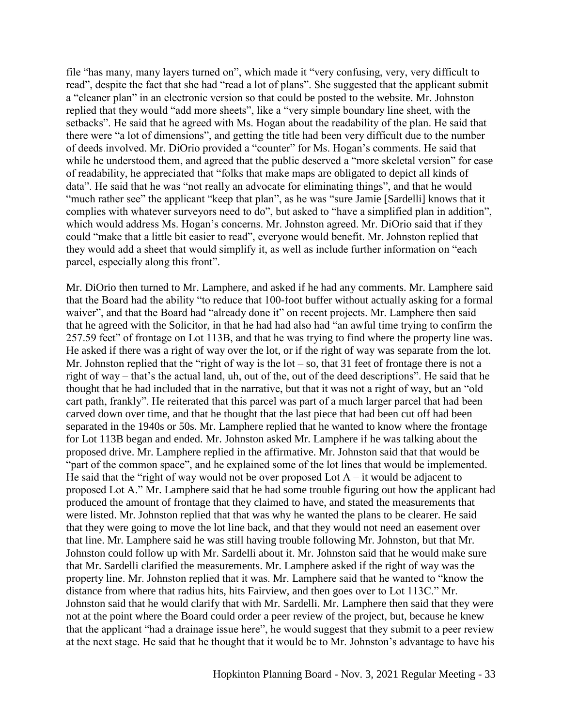file "has many, many layers turned on", which made it "very confusing, very, very difficult to read", despite the fact that she had "read a lot of plans". She suggested that the applicant submit a "cleaner plan" in an electronic version so that could be posted to the website. Mr. Johnston replied that they would "add more sheets", like a "very simple boundary line sheet, with the setbacks". He said that he agreed with Ms. Hogan about the readability of the plan. He said that there were "a lot of dimensions", and getting the title had been very difficult due to the number of deeds involved. Mr. DiOrio provided a "counter" for Ms. Hogan's comments. He said that while he understood them, and agreed that the public deserved a "more skeletal version" for ease of readability, he appreciated that "folks that make maps are obligated to depict all kinds of data". He said that he was "not really an advocate for eliminating things", and that he would "much rather see" the applicant "keep that plan", as he was "sure Jamie [Sardelli] knows that it complies with whatever surveyors need to do", but asked to "have a simplified plan in addition", which would address Ms. Hogan's concerns. Mr. Johnston agreed. Mr. DiOrio said that if they could "make that a little bit easier to read", everyone would benefit. Mr. Johnston replied that they would add a sheet that would simplify it, as well as include further information on "each parcel, especially along this front".

Mr. DiOrio then turned to Mr. Lamphere, and asked if he had any comments. Mr. Lamphere said that the Board had the ability "to reduce that 100-foot buffer without actually asking for a formal waiver", and that the Board had "already done it" on recent projects. Mr. Lamphere then said that he agreed with the Solicitor, in that he had had also had "an awful time trying to confirm the 257.59 feet" of frontage on Lot 113B, and that he was trying to find where the property line was. He asked if there was a right of way over the lot, or if the right of way was separate from the lot. Mr. Johnston replied that the "right of way is the  $lot - so$ , that 31 feet of frontage there is not a right of way – that's the actual land, uh, out of the, out of the deed descriptions". He said that he thought that he had included that in the narrative, but that it was not a right of way, but an "old cart path, frankly". He reiterated that this parcel was part of a much larger parcel that had been carved down over time, and that he thought that the last piece that had been cut off had been separated in the 1940s or 50s. Mr. Lamphere replied that he wanted to know where the frontage for Lot 113B began and ended. Mr. Johnston asked Mr. Lamphere if he was talking about the proposed drive. Mr. Lamphere replied in the affirmative. Mr. Johnston said that that would be "part of the common space", and he explained some of the lot lines that would be implemented. He said that the "right of way would not be over proposed Lot  $A - it$  would be adjacent to proposed Lot A." Mr. Lamphere said that he had some trouble figuring out how the applicant had produced the amount of frontage that they claimed to have, and stated the measurements that were listed. Mr. Johnston replied that that was why he wanted the plans to be clearer. He said that they were going to move the lot line back, and that they would not need an easement over that line. Mr. Lamphere said he was still having trouble following Mr. Johnston, but that Mr. Johnston could follow up with Mr. Sardelli about it. Mr. Johnston said that he would make sure that Mr. Sardelli clarified the measurements. Mr. Lamphere asked if the right of way was the property line. Mr. Johnston replied that it was. Mr. Lamphere said that he wanted to "know the distance from where that radius hits, hits Fairview, and then goes over to Lot 113C." Mr. Johnston said that he would clarify that with Mr. Sardelli. Mr. Lamphere then said that they were not at the point where the Board could order a peer review of the project, but, because he knew that the applicant "had a drainage issue here", he would suggest that they submit to a peer review at the next stage. He said that he thought that it would be to Mr. Johnston's advantage to have his